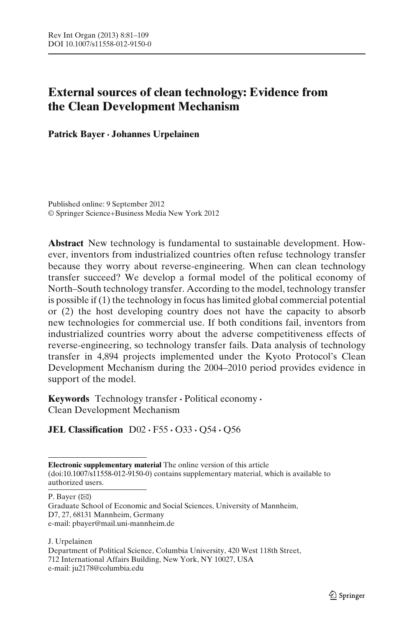# **External sources of clean technology: Evidence from the Clean Development Mechanism**

**Patrick Bayer · Johannes Urpelainen**

Published online: 9 September 2012 © Springer Science+Business Media New York 2012

**Abstract** New technology is fundamental to sustainable development. However, inventors from industrialized countries often refuse technology transfer because they worry about reverse-engineering. When can clean technology transfer succeed? We develop a formal model of the political economy of North–South technology transfer. According to the model, technology transfer is possible if (1) the technology in focus has limited global commercial potential or (2) the host developing country does not have the capacity to absorb new technologies for commercial use. If both conditions fail, inventors from industrialized countries worry about the adverse competitiveness effects of reverse-engineering, so technology transfer fails. Data analysis of technology transfer in 4,894 projects implemented under the Kyoto Protocol's Clean Development Mechanism during the 2004–2010 period provides evidence in support of the model.

**Keywords** Technology transfer **·** Political economy **·** Clean Development Mechanism

**JEL Classification** D02 **·** F55 **·** O33 **·** Q54 **·** Q56

**Electronic supplementary material** The online version of this article (doi[:10.1007/s11558-012-9150-0\)](http://dx.doi.org/10.1007/s11558-012-9150-0) contains supplementary material, which is available to authorized users.

P. Bayer  $(\boxtimes)$ 

Graduate School of Economic and Social Sciences, University of Mannheim, D7, 27, 68131 Mannheim, Germany e-mail: pbayer@mail.uni-mannheim.de

J. Urpelainen Department of Political Science, Columbia University, 420 West 118th Street, 712 International Affairs Building, New York, NY 10027, USA e-mail: ju2178@columbia.edu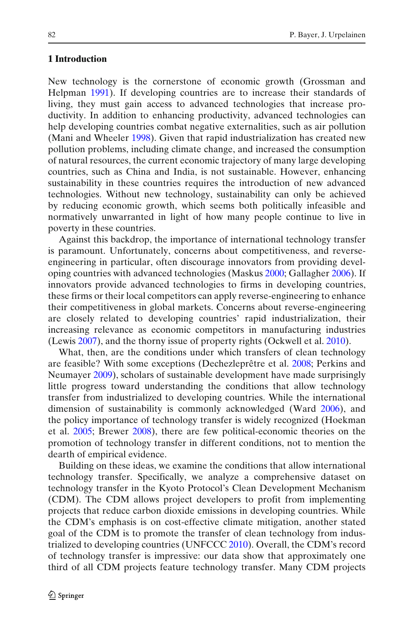# **1 Introduction**

New technology is the cornerstone of economic growth (Grossman and Helpman [1991](#page-27-0)). If developing countries are to increase their standards of living, they must gain access to advanced technologies that increase productivity. In addition to enhancing productivity, advanced technologies can help developing countries combat negative externalities, such as air pollution (Mani and Wheele[r](#page-27-0) [1998\)](#page-27-0). Given that rapid industrialization has created new pollution problems, including climate change, and increased the consumption of natural resources, the current economic trajectory of many large developing countries, such as China and India, is not sustainable. However, enhancing sustainability in these countries requires the introduction of new advanced technologies. Without new technology, sustainability can only be achieved by reducing economic growth, which seems both politically infeasible and normatively unwarranted in light of how many people continue to live in poverty in these countries.

Against this backdrop, the importance of international technology transfer is paramount. Unfortunately, concerns about competitiveness, and reverseengineering in particular, often discourage innovators from providing developing countries with advanced technologies (Masku[s](#page-27-0) [2000;](#page-27-0) Gallaghe[r](#page-27-0) [2006](#page-27-0)). If innovators provide advanced technologies to firms in developing countries, these firms or their local competitors can apply reverse-engineering to enhance their competitiveness in global markets. Concerns about reverse-engineering are closely related to developing countries' rapid industrialization, their increasing relevance as economic competitors in manufacturing industries (Lewi[s](#page-27-0) [2007\)](#page-27-0), and the thorny issue of property rights (Ockwell et al[.](#page-27-0) [2010\)](#page-27-0).

What, then, are the conditions under which transfers of clean technology are feasible? With some exceptions (Dechezleprêtre et al[.](#page-27-0) [2008](#page-27-0); Perkins and Neumaye[r](#page-28-0) [2009](#page-28-0)), scholars of sustainable development have made surprisingly little progress toward understanding the conditions that allow technology transfer from industrialized to developing countries. While the international dimension of sustainability is commonly acknowledged (War[d](#page-28-0) [2006\)](#page-28-0), and the policy importance of technology transfer is widely recognized (Hoekman et al[.](#page-27-0) [2005;](#page-27-0) Brewe[r](#page-27-0) [2008\)](#page-27-0), there are few political-economic theories on the promotion of technology transfer in different conditions, not to mention the dearth of empirical evidence.

Building on these ideas, we examine the conditions that allow international technology transfer. Specifically, we analyze a comprehensive dataset on technology transfer in the Kyoto Protocol's Clean Development Mechanism (CDM). The CDM allows project developers to profit from implementing projects that reduce carbon dioxide emissions in developing countries. While the CDM's emphasis is on cost-effective climate mitigation, another stated goal of the CDM is to promote the transfer of clean technology from industrialized to developing countries (UNFCC[C](#page-28-0) [2010](#page-28-0)). Overall, the CDM's record of technology transfer is impressive: our data show that approximately one third of all CDM projects feature technology transfer. Many CDM projects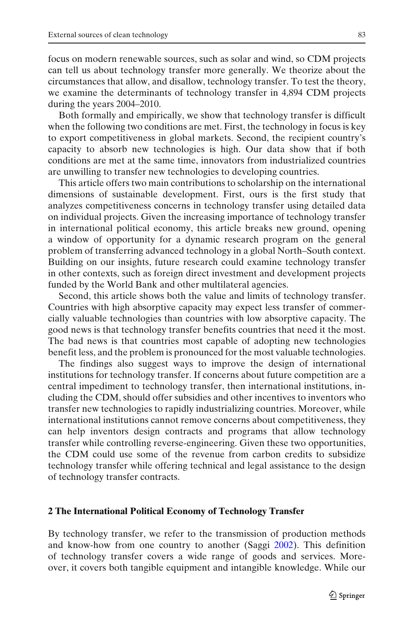focus on modern renewable sources, such as solar and wind, so CDM projects can tell us about technology transfer more generally. We theorize about the circumstances that allow, and disallow, technology transfer. To test the theory, we examine the determinants of technology transfer in 4,894 CDM projects during the years 2004–2010.

Both formally and empirically, we show that technology transfer is difficult when the following two conditions are met. First, the technology in focus is key to export competitiveness in global markets. Second, the recipient country's capacity to absorb new technologies is high. Our data show that if both conditions are met at the same time, innovators from industrialized countries are unwilling to transfer new technologies to developing countries.

This article offers two main contributions to scholarship on the international dimensions of sustainable development. First, ours is the first study that analyzes competitiveness concerns in technology transfer using detailed data on individual projects. Given the increasing importance of technology transfer in international political economy, this article breaks new ground, opening a window of opportunity for a dynamic research program on the general problem of transferring advanced technology in a global North–South context. Building on our insights, future research could examine technology transfer in other contexts, such as foreign direct investment and development projects funded by the World Bank and other multilateral agencies.

Second, this article shows both the value and limits of technology transfer. Countries with high absorptive capacity may expect less transfer of commercially valuable technologies than countries with low absorptive capacity. The good news is that technology transfer benefits countries that need it the most. The bad news is that countries most capable of adopting new technologies benefit less, and the problem is pronounced for the most valuable technologies.

The findings also suggest ways to improve the design of international institutions for technology transfer. If concerns about future competition are a central impediment to technology transfer, then international institutions, including the CDM, should offer subsidies and other incentives to inventors who transfer new technologies to rapidly industrializing countries. Moreover, while international institutions cannot remove concerns about competitiveness, they can help inventors design contracts and programs that allow technology transfer while controlling reverse-engineering. Given these two opportunities, the CDM could use some of the revenue from carbon credits to subsidize technology transfer while offering technical and legal assistance to the design of technology transfer contracts.

#### **2 The International Political Economy of Technology Transfer**

By technology transfer, we refer to the transmission of production methods and know-how from one country to another (Sagg[i](#page-28-0) [2002](#page-28-0)). This definition of technology transfer covers a wide range of goods and services. Moreover, it covers both tangible equipment and intangible knowledge. While our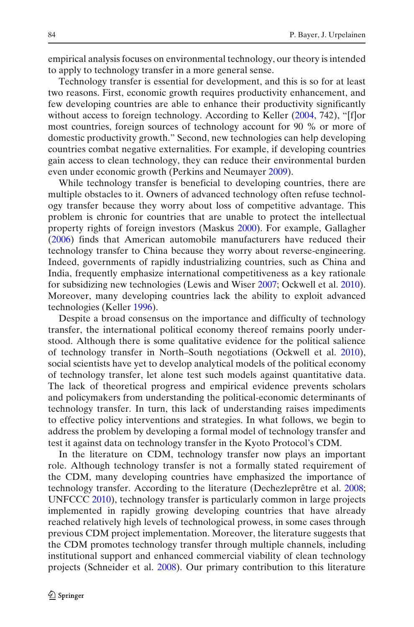empirical analysis focuses on environmental technology, our theory is intended to apply to technology transfer in a more general sense.

Technology transfer is essential for development, and this is so for at least two reasons. First, economic growth requires productivity enhancement, and few developing countries are able to enhance their productivity significantly without access to fo[r](#page-27-0)eign technology. According to Keller [\(2004](#page-27-0), 742), "[f]or most countries, foreign sources of technology account for 90 % or more of domestic productivity growth." Second, new technologies can help developing countries combat negative externalities. For example, if developing countries gain access to clean technology, they can reduce their environmental burden even under economic growth (Perkins and Neumaye[r](#page-28-0) [2009](#page-28-0)).

While technology transfer is beneficial to developing countries, there are multiple obstacles to it. Owners of advanced technology often refuse technology transfer because they worry about loss of competitive advantage. This problem is chronic for countries that are unable to protect the intellectual property rights of foreign investors (Masku[s](#page-27-0) [2000](#page-27-0)). For example, Gallaghe[r](#page-27-0) [\(2006\)](#page-27-0) finds that American automobile manufacturers have reduced their technology transfer to China because they worry about reverse-engineering. Indeed, governments of rapidly industrializing countries, such as China and India, frequently emphasize international competitiveness as a key rationale for subsidizing new technologies (Lewis and Wise[r](#page-27-0) [2007;](#page-27-0) Ockwell et al[.](#page-27-0) [2010\)](#page-27-0). Moreover, many developing countries lack the ability to exploit advanced technologies (Kelle[r](#page-27-0) [1996\)](#page-27-0).

Despite a broad consensus on the importance and difficulty of technology transfer, the international political economy thereof remains poorly understood. Although there is some qualitative evidence for the political salience of technology transfer in North–South negotiations (Ockwell et al[.](#page-27-0) [2010\)](#page-27-0), social scientists have yet to develop analytical models of the political economy of technology transfer, let alone test such models against quantitative data. The lack of theoretical progress and empirical evidence prevents scholars and policymakers from understanding the political-economic determinants of technology transfer. In turn, this lack of understanding raises impediments to effective policy interventions and strategies. In what follows, we begin to address the problem by developing a formal model of technology transfer and test it against data on technology transfer in the Kyoto Protocol's CDM.

In the literature on CDM, technology transfer now plays an important role. Although technology transfer is not a formally stated requirement of the CDM, many developing countries have emphasized the importance of technology transfer. According to the literature (Dechezleprêtre et al[.](#page-27-0) [2008;](#page-27-0) UNFCC[C](#page-28-0) [2010\)](#page-28-0), technology transfer is particularly common in large projects implemented in rapidly growing developing countries that have already reached relatively high levels of technological prowess, in some cases through previous CDM project implementation. Moreover, the literature suggests that the CDM promotes technology transfer through multiple channels, including institutional support and enhanced commercial viability of clean technology projects (Schneider et al[.](#page-28-0) [2008](#page-28-0)). Our primary contribution to this literature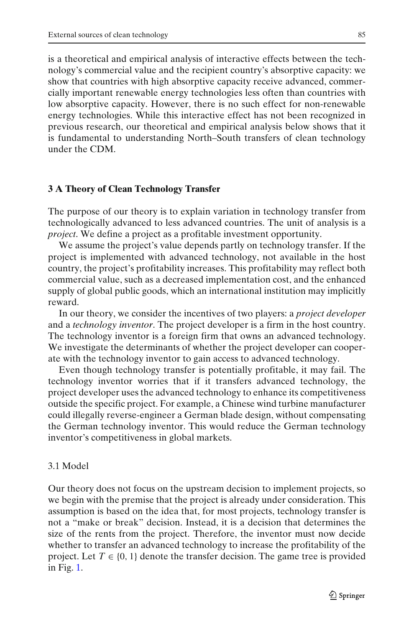is a theoretical and empirical analysis of interactive effects between the technology's commercial value and the recipient country's absorptive capacity: we show that countries with high absorptive capacity receive advanced, commercially important renewable energy technologies less often than countries with low absorptive capacity. However, there is no such effect for non-renewable energy technologies. While this interactive effect has not been recognized in previous research, our theoretical and empirical analysis below shows that it is fundamental to understanding North–South transfers of clean technology under the CDM.

# **3 A Theory of Clean Technology Transfer**

The purpose of our theory is to explain variation in technology transfer from technologically advanced to less advanced countries. The unit of analysis is a *project*. We define a project as a profitable investment opportunity.

We assume the project's value depends partly on technology transfer. If the project is implemented with advanced technology, not available in the host country, the project's profitability increases. This profitability may reflect both commercial value, such as a decreased implementation cost, and the enhanced supply of global public goods, which an international institution may implicitly reward.

In our theory, we consider the incentives of two players: a *project developer* and a *technology inventor*. The project developer is a firm in the host country. The technology inventor is a foreign firm that owns an advanced technology. We investigate the determinants of whether the project developer can cooperate with the technology inventor to gain access to advanced technology.

Even though technology transfer is potentially profitable, it may fail. The technology inventor worries that if it transfers advanced technology, the project developer uses the advanced technology to enhance its competitiveness outside the specific project. For example, a Chinese wind turbine manufacturer could illegally reverse-engineer a German blade design, without compensating the German technology inventor. This would reduce the German technology inventor's competitiveness in global markets.

# 3.1 Model

Our theory does not focus on the upstream decision to implement projects, so we begin with the premise that the project is already under consideration. This assumption is based on the idea that, for most projects, technology transfer is not a "make or break" decision. Instead, it is a decision that determines the size of the rents from the project. Therefore, the inventor must now decide whether to transfer an advanced technology to increase the profitability of the project. Let  $T \in \{0, 1\}$  denote the transfer decision. The game tree is provided in Fig. [1.](#page-5-0)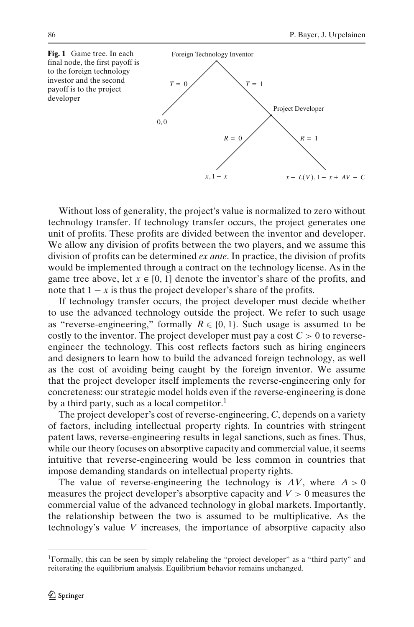<span id="page-5-0"></span>

Without loss of generality, the project's value is normalized to zero without technology transfer. If technology transfer occurs, the project generates one unit of profits. These profits are divided between the inventor and developer. We allow any division of profits between the two players, and we assume this division of profits can be determined *ex ante*. In practice, the division of profits would be implemented through a contract on the technology license. As in the game tree above, let  $x \in [0, 1]$  denote the inventor's share of the profits, and note that  $1 - x$  is thus the project developer's share of the profits.

If technology transfer occurs, the project developer must decide whether to use the advanced technology outside the project. We refer to such usage as "reverse-engineering," formally  $R \in \{0, 1\}$ . Such usage is assumed to be costly to the inventor. The project developer must pay a cost  $C > 0$  to reverseengineer the technology. This cost reflects factors such as hiring engineers and designers to learn how to build the advanced foreign technology, as well as the cost of avoiding being caught by the foreign inventor. We assume that the project developer itself implements the reverse-engineering only for concreteness: our strategic model holds even if the reverse-engineering is done by a third party, such as a local competitor.<sup>1</sup>

The project developer's cost of reverse-engineering, *C*, depends on a variety of factors, including intellectual property rights. In countries with stringent patent laws, reverse-engineering results in legal sanctions, such as fines. Thus, while our theory focuses on absorptive capacity and commercial value, it seems intuitive that reverse-engineering would be less common in countries that impose demanding standards on intellectual property rights.

The value of reverse-engineering the technology is  $AV$ , where  $A > 0$ measures the project developer's absorptive capacity and  $V > 0$  measures the commercial value of the advanced technology in global markets. Importantly, the relationship between the two is assumed to be multiplicative. As the technology's value *V* increases, the importance of absorptive capacity also

<sup>1</sup>Formally, this can be seen by simply relabeling the "project developer" as a "third party" and reiterating the equilibrium analysis. Equilibrium behavior remains unchanged.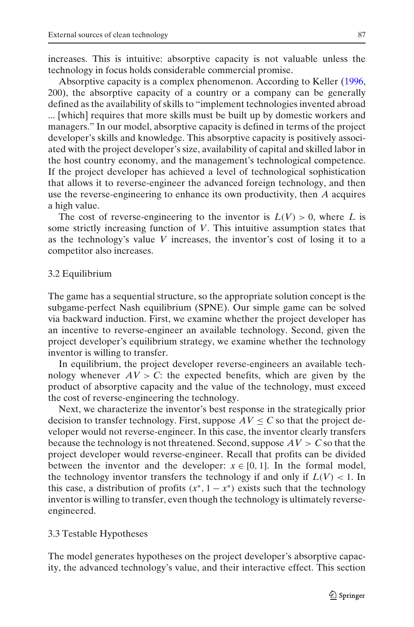increases. This is intuitive: absorptive capacity is not valuable unless the technology in focus holds considerable commercial promise.

Absorptive capacity is a complex phenomenon. According to Kelle[r](#page-27-0) [\(1996,](#page-27-0) 200), the absorptive capacity of a country or a company can be generally defined as the availability of skills to "implement technologies invented abroad ... [which] requires that more skills must be built up by domestic workers and managers." In our model, absorptive capacity is defined in terms of the project developer's skills and knowledge. This absorptive capacity is positively associated with the project developer's size, availability of capital and skilled labor in the host country economy, and the management's technological competence. If the project developer has achieved a level of technological sophistication that allows it to reverse-engineer the advanced foreign technology, and then use the reverse-engineering to enhance its own productivity, then *A* acquires a high value.

The cost of reverse-engineering to the inventor is  $L(V) > 0$ , where L is some strictly increasing function of *V*. This intuitive assumption states that as the technology's value *V* increases, the inventor's cost of losing it to a competitor also increases.

#### 3.2 Equilibrium

The game has a sequential structure, so the appropriate solution concept is the subgame-perfect Nash equilibrium (SPNE). Our simple game can be solved via backward induction. First, we examine whether the project developer has an incentive to reverse-engineer an available technology. Second, given the project developer's equilibrium strategy, we examine whether the technology inventor is willing to transfer.

In equilibrium, the project developer reverse-engineers an available technology whenever  $AV > C$ : the expected benefits, which are given by the product of absorptive capacity and the value of the technology, must exceed the cost of reverse-engineering the technology.

Next, we characterize the inventor's best response in the strategically prior decision to transfer technology. First, suppose  $AV \leq C$  so that the project developer would not reverse-engineer. In this case, the inventor clearly transfers because the technology is not threatened. Second, suppose  $AV > C$  so that the project developer would reverse-engineer. Recall that profits can be divided between the inventor and the developer:  $x \in [0, 1]$ . In the formal model, the technology inventor transfers the technology if and only if  $L(V) < 1$ . In this case, a distribution of profits  $(x^*, 1 - x^*)$  exists such that the technology inventor is willing to transfer, even though the technology is ultimately reverseengineered.

#### 3.3 Testable Hypotheses

The model generates hypotheses on the project developer's absorptive capacity, the advanced technology's value, and their interactive effect. This section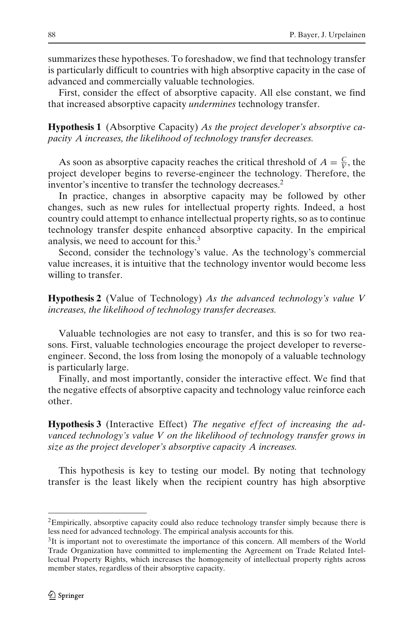summarizes these hypotheses. To foreshadow, we find that technology transfer is particularly difficult to countries with high absorptive capacity in the case of advanced and commercially valuable technologies.

First, consider the effect of absorptive capacity. All else constant, we find that increased absorptive capacity *undermines* technology transfer.

**Hypothesis 1** (Absorptive Capacity) *As the project developer's absorptive capacity A increases, the likelihood of technology transfer decreases.*

As soon as absorptive capacity reaches the critical threshold of  $A = \frac{C}{V}$ , the project developer begins to reverse-engineer the technology. Therefore, the inventor's incentive to transfer the technology decreases.<sup>2</sup>

In practice, changes in absorptive capacity may be followed by other changes, such as new rules for intellectual property rights. Indeed, a host country could attempt to enhance intellectual property rights, so as to continue technology transfer despite enhanced absorptive capacity. In the empirical analysis, we need to account for this.<sup>3</sup>

Second, consider the technology's value. As the technology's commercial value increases, it is intuitive that the technology inventor would become less willing to transfer.

**Hypothesis 2** (Value of Technology) *As the advanced technology's value V increases, the likelihood of technology transfer decreases.*

Valuable technologies are not easy to transfer, and this is so for two reasons. First, valuable technologies encourage the project developer to reverseengineer. Second, the loss from losing the monopoly of a valuable technology is particularly large.

Finally, and most importantly, consider the interactive effect. We find that the negative effects of absorptive capacity and technology value reinforce each other.

**Hypothesis 3** (Interactive Effect) The negative effect of increasing the ad*vanced technology's value V on the likelihood of technology transfer grows in size as the project developer's absorptive capacity A increases.*

This hypothesis is key to testing our model. By noting that technology transfer is the least likely when the recipient country has high absorptive

<sup>&</sup>lt;sup>2</sup>Empirically, absorptive capacity could also reduce technology transfer simply because there is less need for advanced technology. The empirical analysis accounts for this.

<sup>&</sup>lt;sup>3</sup>It is important not to overestimate the importance of this concern. All members of the World Trade Organization have committed to implementing the Agreement on Trade Related Intellectual Property Rights, which increases the homogeneity of intellectual property rights across member states, regardless of their absorptive capacity.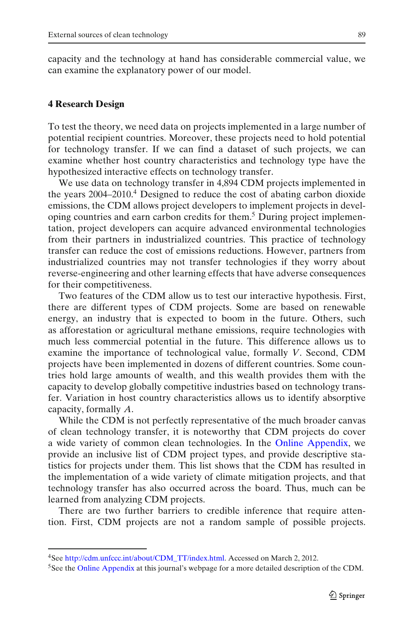capacity and the technology at hand has considerable commercial value, we can examine the explanatory power of our model.

#### **4 Research Design**

To test the theory, we need data on projects implemented in a large number of potential recipient countries. Moreover, these projects need to hold potential for technology transfer. If we can find a dataset of such projects, we can examine whether host country characteristics and technology type have the hypothesized interactive effects on technology transfer.

We use data on technology transfer in 4,894 CDM projects implemented in the years  $2004-2010$ .<sup>4</sup> Designed to reduce the cost of abating carbon dioxide emissions, the CDM allows project developers to implement projects in developing countries and earn carbon credits for them.5 During project implementation, project developers can acquire advanced environmental technologies from their partners in industrialized countries. This practice of technology transfer can reduce the cost of emissions reductions. However, partners from industrialized countries may not transfer technologies if they worry about reverse-engineering and other learning effects that have adverse consequences for their competitiveness.

Two features of the CDM allow us to test our interactive hypothesis. First, there are different types of CDM projects. Some are based on renewable energy, an industry that is expected to boom in the future. Others, such as afforestation or agricultural methane emissions, require technologies with much less commercial potential in the future. This difference allows us to examine the importance of technological value, formally *V*. Second, CDM projects have been implemented in dozens of different countries. Some countries hold large amounts of wealth, and this wealth provides them with the capacity to develop globally competitive industries based on technology transfer. Variation in host country characteristics allows us to identify absorptive capacity, formally *A*.

While the CDM is not perfectly representative of the much broader canvas of clean technology transfer, it is noteworthy that CDM projects do cover a wide variety of common clean technologies. In the Online Appendix, we provide an inclusive list of CDM project types, and provide descriptive statistics for projects under them. This list shows that the CDM has resulted in the implementation of a wide variety of climate mitigation projects, and that technology transfer has also occurred across the board. Thus, much can be learned from analyzing CDM projects.

There are two further barriers to credible inference that require attention. First, CDM projects are not a random sample of possible projects.

<sup>4</sup>See [http://cdm.unfccc.int/about/CDM\\_TT/index.html.](http://cdm.unfccc.int/about/CDM_TT/index.html) Accessed on March 2, 2012.

<sup>5</sup>See the Online Appendix at this journal's webpage for a more detailed description of the CDM.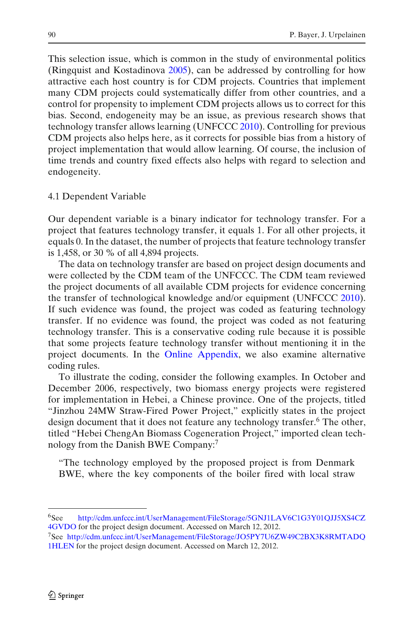This selection issue, which is common in the study of environmental politics (Ringquist and Kostadinov[a](#page-28-0) [2005](#page-28-0)), can be addressed by controlling for how attractive each host country is for CDM projects. Countries that implement many CDM projects could systematically differ from other countries, and a control for propensity to implement CDM projects allows us to correct for this bias. Second, endogeneity may be an issue, as previous research shows that technology transfer allows learning (UNFCC[C](#page-28-0) [2010\)](#page-28-0). Controlling for previous CDM projects also helps here, as it corrects for possible bias from a history of project implementation that would allow learning. Of course, the inclusion of time trends and country fixed effects also helps with regard to selection and endogeneity.

# 4.1 Dependent Variable

Our dependent variable is a binary indicator for technology transfer. For a project that features technology transfer, it equals 1. For all other projects, it equals 0. In the dataset, the number of projects that feature technology transfer is 1,458, or 30 % of all 4,894 projects.

The data on technology transfer are based on project design documents and were collected by the CDM team of the UNFCCC. The CDM team reviewed the project documents of all available CDM projects for evidence concerning the transfer of technological knowledge and/or equipment (UNFCC[C](#page-28-0) [2010\)](#page-28-0). If such evidence was found, the project was coded as featuring technology transfer. If no evidence was found, the project was coded as not featuring technology transfer. This is a conservative coding rule because it is possible that some projects feature technology transfer without mentioning it in the project documents. In the Online Appendix, we also examine alternative coding rules.

To illustrate the coding, consider the following examples. In October and December 2006, respectively, two biomass energy projects were registered for implementation in Hebei, a Chinese province. One of the projects, titled "Jinzhou 24MW Straw-Fired Power Project," explicitly states in the project design document that it does not feature any technology transfer.<sup>6</sup> The other, titled "Hebei ChengAn Biomass Cogeneration Project," imported clean technology from the Danish BWE Company:7

"The technology employed by the proposed project is from Denmark BWE, where the key components of the boiler fired with local straw

<sup>6</sup>See [http://cdm.unfccc.int/UserManagement/FileStorage/5GNJ1LAV6C1G3Y01QJJ5XS4CZ](http://cdm.unfccc.int/UserManagement/FileStorage/5GNJ1LAV6C1G3Y01QJJ5XS4CZ4GVDO) [4GVDO](http://cdm.unfccc.int/UserManagement/FileStorage/5GNJ1LAV6C1G3Y01QJJ5XS4CZ4GVDO) for the project design document. Accessed on March 12, 2012.

<sup>7</sup>See [http://cdm.unfccc.int/UserManagement/FileStorage/JO5PY7U6ZW49C2BX3K8RMTADQ](http://cdm.unfccc.int/UserManagement/FileStorage/JO5PY7U6ZW49C2BX3K8RMTADQ1HLEN) [1HLEN](http://cdm.unfccc.int/UserManagement/FileStorage/JO5PY7U6ZW49C2BX3K8RMTADQ1HLEN) for the project design document. Accessed on March 12, 2012.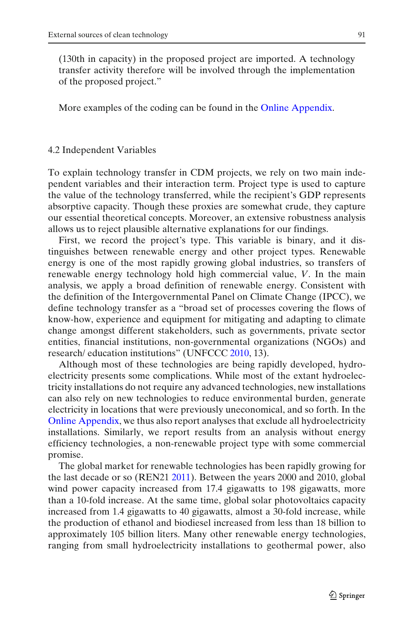(130th in capacity) in the proposed project are imported. A technology transfer activity therefore will be involved through the implementation of the proposed project."

More examples of the coding can be found in the Online Appendix.

#### 4.2 Independent Variables

To explain technology transfer in CDM projects, we rely on two main independent variables and their interaction term. Project type is used to capture the value of the technology transferred, while the recipient's GDP represents absorptive capacity. Though these proxies are somewhat crude, they capture our essential theoretical concepts. Moreover, an extensive robustness analysis allows us to reject plausible alternative explanations for our findings.

First, we record the project's type. This variable is binary, and it distinguishes between renewable energy and other project types. Renewable energy is one of the most rapidly growing global industries, so transfers of renewable energy technology hold high commercial value, *V*. In the main analysis, we apply a broad definition of renewable energy. Consistent with the definition of the Intergovernmental Panel on Climate Change (IPCC), we define technology transfer as a "broad set of processes covering the flows of know-how, experience and equipment for mitigating and adapting to climate change amongst different stakeholders, such as governments, private sector entities, financial institutions, non-governmental organizations (NGOs) and research/ education institutions" (UNFCC[C](#page-28-0) [2010](#page-28-0), 13).

Although most of these technologies are being rapidly developed, hydroelectricity presents some complications. While most of the extant hydroelectricity installations do not require any advanced technologies, new installations can also rely on new technologies to reduce environmental burden, generate electricity in locations that were previously uneconomical, and so forth. In the Online Appendix, we thus also report analyses that exclude all hydroelectricity installations. Similarly, we report results from an analysis without energy efficiency technologies, a non-renewable project type with some commercial promise.

The global market for renewable technologies has been rapidly growing for the last decade or so (REN2[1](#page-28-0) [2011](#page-28-0)). Between the years 2000 and 2010, global wind power capacity increased from 17.4 gigawatts to 198 gigawatts, more than a 10-fold increase. At the same time, global solar photovoltaics capacity increased from 1.4 gigawatts to 40 gigawatts, almost a 30-fold increase, while the production of ethanol and biodiesel increased from less than 18 billion to approximately 105 billion liters. Many other renewable energy technologies, ranging from small hydroelectricity installations to geothermal power, also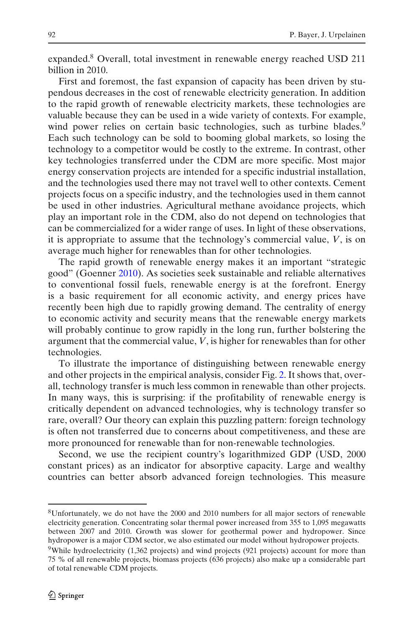expanded.<sup>8</sup> Overall, total investment in renewable energy reached USD 211 billion in 2010.

First and foremost, the fast expansion of capacity has been driven by stupendous decreases in the cost of renewable electricity generation. In addition to the rapid growth of renewable electricity markets, these technologies are valuable because they can be used in a wide variety of contexts. For example, wind power relies on certain basic technologies, such as turbine blades.<sup>9</sup> Each such technology can be sold to booming global markets, so losing the technology to a competitor would be costly to the extreme. In contrast, other key technologies transferred under the CDM are more specific. Most major energy conservation projects are intended for a specific industrial installation, and the technologies used there may not travel well to other contexts. Cement projects focus on a specific industry, and the technologies used in them cannot be used in other industries. Agricultural methane avoidance projects, which play an important role in the CDM, also do not depend on technologies that can be commercialized for a wider range of uses. In light of these observations, it is appropriate to assume that the technology's commercial value, *V*, is on average much higher for renewables than for other technologies.

The rapid growth of renewable energy makes it an important "strategic good" (Goenne[r](#page-27-0) [2010](#page-27-0)). As societies seek sustainable and reliable alternatives to conventional fossil fuels, renewable energy is at the forefront. Energy is a basic requirement for all economic activity, and energy prices have recently been high due to rapidly growing demand. The centrality of energy to economic activity and security means that the renewable energy markets will probably continue to grow rapidly in the long run, further bolstering the argument that the commercial value, *V*, is higher for renewables than for other technologies.

To illustrate the importance of distinguishing between renewable energy and other projects in the empirical analysis, consider Fig. [2.](#page-12-0) It shows that, overall, technology transfer is much less common in renewable than other projects. In many ways, this is surprising: if the profitability of renewable energy is critically dependent on advanced technologies, why is technology transfer so rare, overall? Our theory can explain this puzzling pattern: foreign technology is often not transferred due to concerns about competitiveness, and these are more pronounced for renewable than for non-renewable technologies.

Second, we use the recipient country's logarithmized GDP (USD, 2000 constant prices) as an indicator for absorptive capacity. Large and wealthy countries can better absorb advanced foreign technologies. This measure

<sup>8</sup>Unfortunately, we do not have the 2000 and 2010 numbers for all major sectors of renewable electricity generation. Concentrating solar thermal power increased from 355 to 1,095 megawatts between 2007 and 2010. Growth was slower for geothermal power and hydropower. Since hydropower is a major CDM sector, we also estimated our model without hydropower projects.

<sup>&</sup>lt;sup>9</sup>While hydroelectricity (1,362 projects) and wind projects (921 projects) account for more than 75 % of all renewable projects, biomass projects (636 projects) also make up a considerable part of total renewable CDM projects.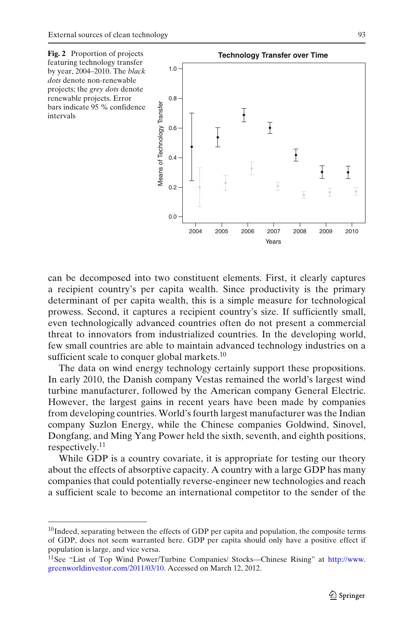<span id="page-12-0"></span>



can be decomposed into two constituent elements. First, it clearly captures a recipient country's per capita wealth. Since productivity is the primary determinant of per capita wealth, this is a simple measure for technological prowess. Second, it captures a recipient country's size. If sufficiently small, even technologically advanced countries often do not present a commercial threat to innovators from industrialized countries. In the developing world, few small countries are able to maintain advanced technology industries on a sufficient scale to conquer global markets. $10$ 

The data on wind energy technology certainly support these propositions. In early 2010, the Danish company Vestas remained the world's largest wind turbine manufacturer, followed by the American company General Electric. However, the largest gains in recent years have been made by companies from developing countries. World's fourth largest manufacturer was the Indian company Suzlon Energy, while the Chinese companies Goldwind, Sinovel, Dongfang, and Ming Yang Power held the sixth, seventh, and eighth positions, respectively.<sup>11</sup>

While GDP is a country covariate, it is appropriate for testing our theory about the effects of absorptive capacity. A country with a large GDP has many companies that could potentially reverse-engineer new technologies and reach a sufficient scale to become an international competitor to the sender of the

<sup>&</sup>lt;sup>10</sup>Indeed, separating between the effects of GDP per capita and population, the composite terms of GDP, does not seem warranted here. GDP per capita should only have a positive effect if population is large, and vice versa.

<sup>&</sup>lt;sup>11</sup>See "List of Top Wind Power/Turbine Companies/ Stocks—Chinese Rising" at [http://www.](http://www.greenworldinvestor.com/2011/03/10) [greenworldinvestor.com/2011/03/10.](http://www.greenworldinvestor.com/2011/03/10) Accessed on March 12, 2012.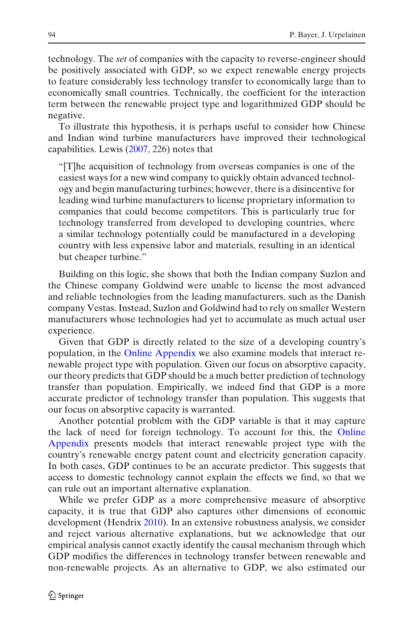technology. The *set* of companies with the capacity to reverse-engineer should be positively associated with GDP, so we expect renewable energy projects to feature considerably less technology transfer to economically large than to economically small countries. Technically, the coefficient for the interaction term between the renewable project type and logarithmized GDP should be negative.

To illustrate this hypothesis, it is perhaps useful to consider how Chinese and Indian wind turbine manufacturers have improved their technological capabilities. Lewi[s](#page-27-0) [\(2007,](#page-27-0) 226) notes that

"[T]he acquisition of technology from overseas companies is one of the easiest ways for a new wind company to quickly obtain advanced technology and begin manufacturing turbines; however, there is a disincentive for leading wind turbine manufacturers to license proprietary information to companies that could become competitors. This is particularly true for technology transferred from developed to developing countries, where a similar technology potentially could be manufactured in a developing country with less expensive labor and materials, resulting in an identical but cheaper turbine."

Building on this logic, she shows that both the Indian company Suzlon and the Chinese company Goldwind were unable to license the most advanced and reliable technologies from the leading manufacturers, such as the Danish company Vestas. Instead, Suzlon and Goldwind had to rely on smaller Western manufacturers whose technologies had yet to accumulate as much actual user experience.

Given that GDP is directly related to the size of a developing country's population, in the Online Appendix we also examine models that interact renewable project type with population. Given our focus on absorptive capacity, our theory predicts that GDP should be a much better prediction of technology transfer than population. Empirically, we indeed find that GDP is a more accurate predictor of technology transfer than population. This suggests that our focus on absorptive capacity is warranted.

Another potential problem with the GDP variable is that it may capture the lack of need for foreign technology. To account for this, the Online Appendix presents models that interact renewable project type with the country's renewable energy patent count and electricity generation capacity. In both cases, GDP continues to be an accurate predictor. This suggests that access to domestic technology cannot explain the effects we find, so that we can rule out an important alternative explanation.

While we prefer GDP as a more comprehensive measure of absorptive capacity, it is true that GDP also captures other dimensions of economic development (Hendri[x](#page-27-0) [2010\)](#page-27-0). In an extensive robustness analysis, we consider and reject various alternative explanations, but we acknowledge that our empirical analysis cannot exactly identify the causal mechanism through which GDP modifies the differences in technology transfer between renewable and non-renewable projects. As an alternative to GDP, we also estimated our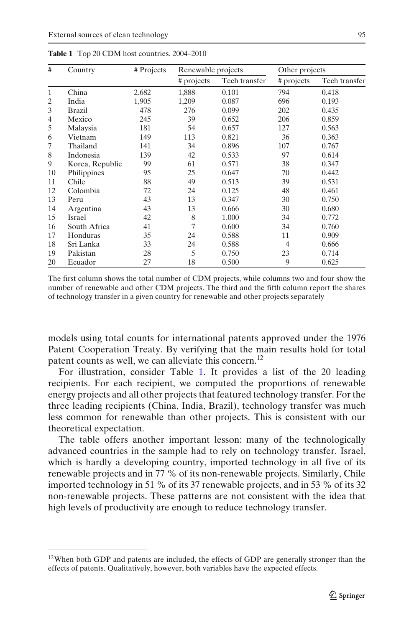| #              | Country         | # Projects | Renewable projects |               | Other projects |               |
|----------------|-----------------|------------|--------------------|---------------|----------------|---------------|
|                |                 |            | $#$ projects       | Tech transfer | # projects     | Tech transfer |
| $\mathbf{1}$   | China           | 2,682      | 1,888              | 0.101         | 794            | 0.418         |
| 2              | India           | 1,905      | 1,209              | 0.087         | 696            | 0.193         |
| 3              | Brazil          | 478        | 276                | 0.099         | 202            | 0.435         |
| $\overline{4}$ | Mexico          | 245        | 39                 | 0.652         | 206            | 0.859         |
| 5              | Malaysia        | 181        | 54                 | 0.657         | 127            | 0.563         |
| 6              | Vietnam         | 149        | 113                | 0.821         | 36             | 0.363         |
| 7              | Thailand        | 141        | 34                 | 0.896         | 107            | 0.767         |
| 8              | Indonesia       | 139        | 42                 | 0.533         | 97             | 0.614         |
| 9              | Korea, Republic | 99         | 61                 | 0.571         | 38             | 0.347         |
| 10             | Philippines     | 95         | 25                 | 0.647         | 70             | 0.442         |
| 11             | Chile           | 88         | 49                 | 0.513         | 39             | 0.531         |
| 12             | Colombia        | 72         | 24                 | 0.125         | 48             | 0.461         |
| 13             | Peru            | 43         | 13                 | 0.347         | 30             | 0.750         |
| 14             | Argentina       | 43         | 13                 | 0.666         | 30             | 0.680         |
| 15             | Israel          | 42         | 8                  | 1.000         | 34             | 0.772         |
| 16             | South Africa    | 41         | 7                  | 0.600         | 34             | 0.760         |
| 17             | Honduras        | 35         | 24                 | 0.588         | 11             | 0.909         |
| 18             | Sri Lanka       | 33         | 24                 | 0.588         | $\overline{4}$ | 0.666         |
| 19             | Pakistan        | 28         | 5                  | 0.750         | 23             | 0.714         |
| 20             | Ecuador         | 27         | 18                 | 0.500         | 9              | 0.625         |

**Table 1** Top 20 CDM host countries, 2004–2010

The first column shows the total number of CDM projects, while columns two and four show the number of renewable and other CDM projects. The third and the fifth column report the shares of technology transfer in a given country for renewable and other projects separately

models using total counts for international patents approved under the 1976 Patent Cooperation Treaty. By verifying that the main results hold for total patent counts as well, we can alleviate this concern.<sup>12</sup>

For illustration, consider Table 1. It provides a list of the 20 leading recipients. For each recipient, we computed the proportions of renewable energy projects and all other projects that featured technology transfer. For the three leading recipients (China, India, Brazil), technology transfer was much less common for renewable than other projects. This is consistent with our theoretical expectation.

The table offers another important lesson: many of the technologically advanced countries in the sample had to rely on technology transfer. Israel, which is hardly a developing country, imported technology in all five of its renewable projects and in 77 % of its non-renewable projects. Similarly, Chile imported technology in 51 % of its 37 renewable projects, and in 53 % of its 32 non-renewable projects. These patterns are not consistent with the idea that high levels of productivity are enough to reduce technology transfer.

<sup>&</sup>lt;sup>12</sup>When both GDP and patents are included, the effects of GDP are generally stronger than the effects of patents. Qualitatively, however, both variables have the expected effects.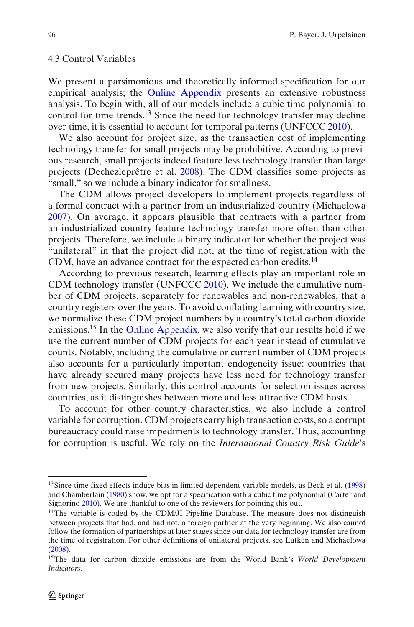# 4.3 Control Variables

We present a parsimonious and theoretically informed specification for our empirical analysis; the Online Appendix presents an extensive robustness analysis. To begin with, all of our models include a cubic time polynomial to control for time trends.<sup>13</sup> Since the need for technology transfer may decline over time, it is essential to account for temporal patterns (UNFCC[C](#page-28-0) [2010](#page-28-0)).

We also account for project size, as the transaction cost of implementing technology transfer for small projects may be prohibitive. According to previous research, small projects indeed feature less technology transfer than large projects (Dechezleprêtre et al[.](#page-27-0) [2008](#page-27-0)). The CDM classifies some projects as "small," so we include a binary indicator for smallness.

The CDM allows project developers to implement projects regardless of a formal contract with a partner from an industrialized country (Michaelow[a](#page-27-0) [2007](#page-27-0)). On average, it appears plausible that contracts with a partner from an industrialized country feature technology transfer more often than other projects. Therefore, we include a binary indicator for whether the project was "unilateral" in that the project did not, at the time of registration with the CDM, have an advance contract for the expected carbon credits.<sup>14</sup>

According to previous research, learning effects play an important role in CDM technology transfer (UNFCC[C](#page-28-0) [2010\)](#page-28-0). We include the cumulative number of CDM projects, separately for renewables and non-renewables, that a country registers over the years. To avoid conflating learning with country size, we normalize these CDM project numbers by a country's total carbon dioxide emissions.<sup>15</sup> In the Online Appendix, we also verify that our results hold if we use the current number of CDM projects for each year instead of cumulative counts. Notably, including the cumulative or current number of CDM projects also accounts for a particularly important endogeneity issue: countries that have already secured many projects have less need for technology transfer from new projects. Similarly, this control accounts for selection issues across countries, as it distinguishes between more and less attractive CDM hosts.

To account for other country characteristics, we also include a control variable for corruption. CDM projects carry high transaction costs, so a corrupt bureaucracy could raise impediments to technology transfer. Thus, accounting for corruption is useful. We rely on the *International Country Risk Guide*'s

 $13$ Since time fixed effects induce bias in limited dependent variable models, as Beck et al[.](#page-27-0) [\(1998](#page-27-0)) and Chamberlai[n](#page-27-0) [\(1980\)](#page-27-0) show, we opt for a specification with a cubic time polynomial (Carter and Signorin[o](#page-27-0) [2010\)](#page-27-0). We are thankful to one of the reviewers for pointing this out.

<sup>&</sup>lt;sup>14</sup>The variable is coded by the CDM/JI Pipeline Database. The measure does not distinguish between projects that had, and had not, a foreign partner at the very beginning. We also cannot follow the formation of partnerships at later stages since our data for technology transfer are from the time of registration. For other definitions of unilateral projects, see Lütken and Michaelow[a](#page-27-0) [\(2008](#page-27-0)).

<sup>15</sup>The data for carbon dioxide emissions are from the World Bank's *World Development Indicators*.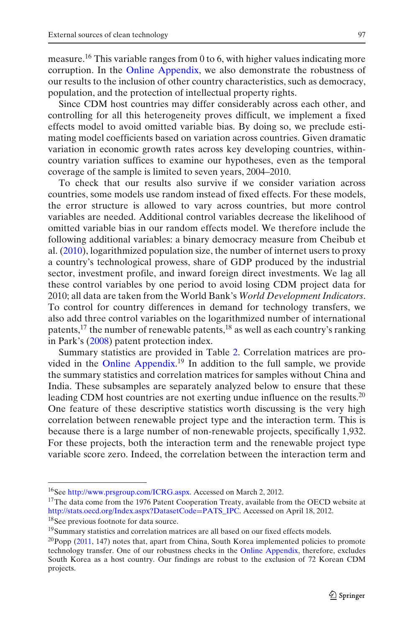measure.<sup>16</sup> This variable ranges from 0 to 6, with higher values indicating more corruption. In the Online Appendix, we also demonstrate the robustness of our results to the inclusion of other country characteristics, such as democracy, population, and the protection of intellectual property rights.

Since CDM host countries may differ considerably across each other, and controlling for all this heterogeneity proves difficult, we implement a fixed effects model to avoid omitted variable bias. By doing so, we preclude estimating model coefficients based on variation across countries. Given dramatic variation in economic growth rates across key developing countries, withincountry variation suffices to examine our hypotheses, even as the temporal coverage of the sample is limited to seven years, 2004–2010.

To check that our results also survive if we consider variation across countries, some models use random instead of fixed effects. For these models, the error structure is allowed to vary across countries, but more control variables are needed. Additional control variables decrease the likelihood of omitted variable bias in our random effects model. We therefore include the following additional variables: a binary democracy measure from Cheibub et al[.](#page-27-0) [\(2010](#page-27-0)), logarithmized population size, the number of internet users to proxy a country's technological prowess, share of GDP produced by the industrial sector, investment profile, and inward foreign direct investments. We lag all these control variables by one period to avoid losing CDM project data for 2010; all data are taken from the World Bank's *World Development Indicators*. To control for country differences in demand for technology transfers, we also add three control variables on the logarithmized number of international patents,<sup>17</sup> the number of renewable patents,<sup>18</sup> as well as each country's ranking in Park's [\(2008](#page-27-0)) patent protection index.

Summary statistics are provided in Table [2.](#page-17-0) Correlation matrices are provided in the Online Appendix.<sup>19</sup> In addition to the full sample, we provide the summary statistics and correlation matrices for samples without China and India. These subsamples are separately analyzed below to ensure that these leading CDM host countries are not exerting undue influence on the results.<sup>20</sup> One feature of these descriptive statistics worth discussing is the very high correlation between renewable project type and the interaction term. This is because there is a large number of non-renewable projects, specifically 1,932. For these projects, both the interaction term and the renewable project type variable score zero. Indeed, the correlation between the interaction term and

<sup>16</sup>See [http://www.prsgroup.com/ICRG.aspx.](http://www.prsgroup.com/ICRG.aspx) Accessed on March 2, 2012.

<sup>&</sup>lt;sup>17</sup>The data come from the 1976 Patent Cooperation Treaty, available from the OECD website at [http://stats.oecd.org/Index.aspx?DatasetCode](http://stats.oecd.org/Index.aspx?DatasetCode=PATS_IPC)=PATS\_IPC. Accessed on April 18, 2012.

<sup>18</sup>See previous footnote for data source.

<sup>&</sup>lt;sup>19</sup>Summary statistics and correlation matrices are all based on our fixed effects models.

 $^{20}$ Po[p](#page-28-0)p [\(2011](#page-28-0), 147) notes that, apart from China, South Korea implemented policies to promote technology transfer. One of our robustness checks in the Online Appendix, therefore, excludes South Korea as a host country. Our findings are robust to the exclusion of 72 Korean CDM projects.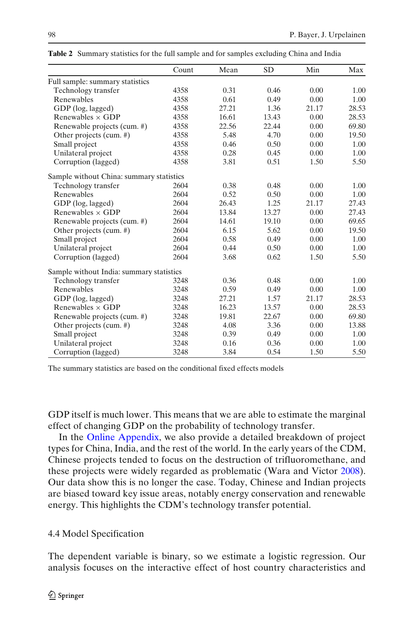|                                          | Count | Mean  | <b>SD</b> | Min   | Max   |
|------------------------------------------|-------|-------|-----------|-------|-------|
| Full sample: summary statistics          |       |       |           |       |       |
| Technology transfer                      | 4358  | 0.31  | 0.46      | 0.00  | 1.00  |
| Renewables                               | 4358  | 0.61  | 0.49      | 0.00  | 1.00  |
| GDP (log, lagged)                        | 4358  | 27.21 | 1.36      | 21.17 | 28.53 |
| Renewables $\times$ GDP                  | 4358  | 16.61 | 13.43     | 0.00  | 28.53 |
| Renewable projects (cum. #)              | 4358  | 22.56 | 22.44     | 0.00  | 69.80 |
| Other projects (cum. #)                  | 4358  | 5.48  | 4.70      | 0.00  | 19.50 |
| Small project                            | 4358  | 0.46  | 0.50      | 0.00  | 1.00  |
| Unilateral project                       | 4358  | 0.28  | 0.45      | 0.00  | 1.00  |
| Corruption (lagged)                      | 4358  | 3.81  | 0.51      | 1.50  | 5.50  |
| Sample without China: summary statistics |       |       |           |       |       |
| Technology transfer                      | 2604  | 0.38  | 0.48      | 0.00  | 1.00  |
| Renewables                               | 2604  | 0.52  | 0.50      | 0.00  | 1.00  |
| GDP (log, lagged)                        | 2604  | 26.43 | 1.25      | 21.17 | 27.43 |
| Renewables $\times$ GDP                  | 2604  | 13.84 | 13.27     | 0.00  | 27.43 |
| Renewable projects (cum. #)              | 2604  | 14.61 | 19.10     | 0.00  | 69.65 |
| Other projects (cum. #)                  | 2604  | 6.15  | 5.62      | 0.00  | 19.50 |
| Small project                            | 2604  | 0.58  | 0.49      | 0.00  | 1.00  |
| Unilateral project                       | 2604  | 0.44  | 0.50      | 0.00  | 1.00  |
| Corruption (lagged)                      | 2604  | 3.68  | 0.62      | 1.50  | 5.50  |
| Sample without India: summary statistics |       |       |           |       |       |
| Technology transfer                      | 3248  | 0.36  | 0.48      | 0.00  | 1.00  |
| Renewables                               | 3248  | 0.59  | 0.49      | 0.00  | 1.00  |
| GDP (log, lagged)                        | 3248  | 27.21 | 1.57      | 21.17 | 28.53 |
| Renewables $\times$ GDP                  | 3248  | 16.23 | 13.57     | 0.00  | 28.53 |
| Renewable projects (cum. #)              | 3248  | 19.81 | 22.67     | 0.00  | 69.80 |
| Other projects (cum. #)                  | 3248  | 4.08  | 3.36      | 0.00  | 13.88 |
| Small project                            | 3248  | 0.39  | 0.49      | 0.00  | 1.00  |
| Unilateral project                       | 3248  | 0.16  | 0.36      | 0.00  | 1.00  |
| Corruption (lagged)                      | 3248  | 3.84  | 0.54      | 1.50  | 5.50  |

<span id="page-17-0"></span>**Table 2** Summary statistics for the full sample and for samples excluding China and India

The summary statistics are based on the conditional fixed effects models

GDP itself is much lower. This means that we are able to estimate the marginal effect of changing GDP on the probability of technology transfer.

In the Online Appendix, we also provide a detailed breakdown of project types for China, India, and the rest of the world. In the early years of the CDM, Chinese projects tended to focus on the destruction of trifluoromethane, and these projects were widely regarded as problematic (Wara and Victo[r](#page-28-0) [2008\)](#page-28-0). Our data show this is no longer the case. Today, Chinese and Indian projects are biased toward key issue areas, notably energy conservation and renewable energy. This highlights the CDM's technology transfer potential.

# 4.4 Model Specification

The dependent variable is binary, so we estimate a logistic regression. Our analysis focuses on the interactive effect of host country characteristics and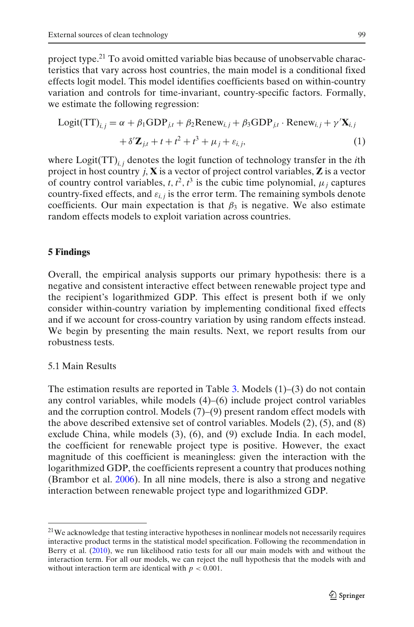project type.21 To avoid omitted variable bias because of unobservable characteristics that vary across host countries, the main model is a conditional fixed effects logit model. This model identifies coefficients based on within-country variation and controls for time-invariant, country-specific factors. Formally, we estimate the following regression:

$$
Logit(TT)i,j = \alpha + \beta_1 GDP_{j,t} + \beta_2 Renew_{i,j} + \beta_3 GDP_{j,t} \cdot Renew_{i,j} + \gamma' \mathbf{X}_{i,j}
$$

$$
+\delta'\mathbf{Z}_{j,t}+t+t^2+t^3+\mu_j+\varepsilon_{i,j},\tag{1}
$$

where Logit(TT)*i*,*<sup>j</sup>* denotes the logit function of technology transfer in the *i*th project in host country *j*, **X** is a vector of project control variables, **Z** is a vector of country control variables,  $t$ ,  $t^2$ ,  $t^3$  is the cubic time polynomial,  $\mu_j$  captures country-fixed effects, and  $\varepsilon_{i,j}$  is the error term. The remaining symbols denote coefficients. Our main expectation is that  $\beta_3$  is negative. We also estimate random effects models to exploit variation across countries.

# **5 Findings**

Overall, the empirical analysis supports our primary hypothesis: there is a negative and consistent interactive effect between renewable project type and the recipient's logarithmized GDP. This effect is present both if we only consider within-country variation by implementing conditional fixed effects and if we account for cross-country variation by using random effects instead. We begin by presenting the main results. Next, we report results from our robustness tests.

# 5.1 Main Results

The estimation results are reported in Table [3.](#page-19-0) Models  $(1)$ – $(3)$  do not contain any control variables, while models (4)–(6) include project control variables and the corruption control. Models (7)–(9) present random effect models with the above described extensive set of control variables. Models (2), (5), and (8) exclude China, while models (3), (6), and (9) exclude India. In each model, the coefficient for renewable project type is positive. However, the exact magnitude of this coefficient is meaningless: given the interaction with the logarithmized GDP, the coefficients represent a country that produces nothing (Brambor et al[.](#page-27-0) [2006\)](#page-27-0). In all nine models, there is also a strong and negative interaction between renewable project type and logarithmized GDP.

<sup>&</sup>lt;sup>21</sup>We acknowledge that testing interactive hypotheses in nonlinear models not necessarily requires interactive product terms in the statistical model specification. Following the recommendation in Berry et al[.](#page-27-0) [\(2010\)](#page-27-0), we run likelihood ratio tests for all our main models with and without the interaction term. For all our models, we can reject the null hypothesis that the models with and without interaction term are identical with *p* < 0.001.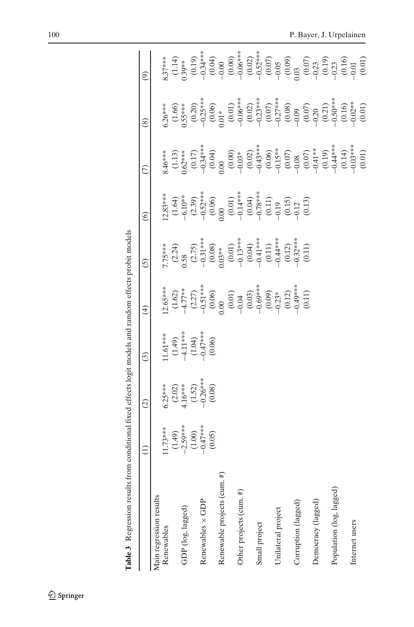<span id="page-19-0"></span>

| Table 3 Regression results from conditional fixed effects logit models and random effects probit models |                                                                                     |                                                            |                                                                |                                                                                                                                                                                             |                                                                                                                                                                                                                                                                                                                                                               |                                                                                                                                                                                                                                                                                                                                                                                  |                                                                                                                                                                                                     |                                                                                                                                                                                                                                                                                                                                             |                                                                                                                                                                                                       |
|---------------------------------------------------------------------------------------------------------|-------------------------------------------------------------------------------------|------------------------------------------------------------|----------------------------------------------------------------|---------------------------------------------------------------------------------------------------------------------------------------------------------------------------------------------|---------------------------------------------------------------------------------------------------------------------------------------------------------------------------------------------------------------------------------------------------------------------------------------------------------------------------------------------------------------|----------------------------------------------------------------------------------------------------------------------------------------------------------------------------------------------------------------------------------------------------------------------------------------------------------------------------------------------------------------------------------|-----------------------------------------------------------------------------------------------------------------------------------------------------------------------------------------------------|---------------------------------------------------------------------------------------------------------------------------------------------------------------------------------------------------------------------------------------------------------------------------------------------------------------------------------------------|-------------------------------------------------------------------------------------------------------------------------------------------------------------------------------------------------------|
|                                                                                                         | $\bigoplus$                                                                         | $\odot$                                                    | $\odot$                                                        | $\widehat{f}$                                                                                                                                                                               | $\tilde{S}$                                                                                                                                                                                                                                                                                                                                                   | $\widehat{\circ}$                                                                                                                                                                                                                                                                                                                                                                | $\widehat{\subset}$                                                                                                                                                                                 | $\circledast$                                                                                                                                                                                                                                                                                                                               | $\widehat{e}$                                                                                                                                                                                         |
| Main regression results                                                                                 |                                                                                     |                                                            |                                                                |                                                                                                                                                                                             |                                                                                                                                                                                                                                                                                                                                                               |                                                                                                                                                                                                                                                                                                                                                                                  |                                                                                                                                                                                                     |                                                                                                                                                                                                                                                                                                                                             |                                                                                                                                                                                                       |
| Renewables                                                                                              |                                                                                     |                                                            |                                                                |                                                                                                                                                                                             | 7.75***                                                                                                                                                                                                                                                                                                                                                       |                                                                                                                                                                                                                                                                                                                                                                                  |                                                                                                                                                                                                     |                                                                                                                                                                                                                                                                                                                                             |                                                                                                                                                                                                       |
|                                                                                                         |                                                                                     |                                                            |                                                                |                                                                                                                                                                                             |                                                                                                                                                                                                                                                                                                                                                               |                                                                                                                                                                                                                                                                                                                                                                                  |                                                                                                                                                                                                     |                                                                                                                                                                                                                                                                                                                                             |                                                                                                                                                                                                       |
| GDP (log, lagged)                                                                                       |                                                                                     |                                                            |                                                                |                                                                                                                                                                                             |                                                                                                                                                                                                                                                                                                                                                               |                                                                                                                                                                                                                                                                                                                                                                                  |                                                                                                                                                                                                     |                                                                                                                                                                                                                                                                                                                                             |                                                                                                                                                                                                       |
|                                                                                                         | $1.73***$<br>$(1.49)$<br>$-2.59***$<br>$(1.00)$<br>$(1.00)$<br>$(1.00)$<br>$(0.05)$ | 6.25***<br>(2.02)<br>4.16***<br>4.16***<br>(1.52)<br>0.08) | I1.61***<br>(1.49)<br>-4.11***<br>(1.04)<br>-0.47***<br>(0.06) |                                                                                                                                                                                             |                                                                                                                                                                                                                                                                                                                                                               |                                                                                                                                                                                                                                                                                                                                                                                  |                                                                                                                                                                                                     |                                                                                                                                                                                                                                                                                                                                             |                                                                                                                                                                                                       |
| Renewables $\times$ GDP                                                                                 |                                                                                     |                                                            |                                                                |                                                                                                                                                                                             |                                                                                                                                                                                                                                                                                                                                                               |                                                                                                                                                                                                                                                                                                                                                                                  |                                                                                                                                                                                                     |                                                                                                                                                                                                                                                                                                                                             |                                                                                                                                                                                                       |
|                                                                                                         |                                                                                     |                                                            |                                                                |                                                                                                                                                                                             |                                                                                                                                                                                                                                                                                                                                                               |                                                                                                                                                                                                                                                                                                                                                                                  |                                                                                                                                                                                                     |                                                                                                                                                                                                                                                                                                                                             |                                                                                                                                                                                                       |
| Renewable projects (cum. #)                                                                             |                                                                                     |                                                            |                                                                |                                                                                                                                                                                             |                                                                                                                                                                                                                                                                                                                                                               |                                                                                                                                                                                                                                                                                                                                                                                  |                                                                                                                                                                                                     |                                                                                                                                                                                                                                                                                                                                             |                                                                                                                                                                                                       |
|                                                                                                         |                                                                                     |                                                            |                                                                |                                                                                                                                                                                             |                                                                                                                                                                                                                                                                                                                                                               |                                                                                                                                                                                                                                                                                                                                                                                  |                                                                                                                                                                                                     |                                                                                                                                                                                                                                                                                                                                             |                                                                                                                                                                                                       |
| Other projects (cum. #)                                                                                 |                                                                                     |                                                            |                                                                |                                                                                                                                                                                             |                                                                                                                                                                                                                                                                                                                                                               |                                                                                                                                                                                                                                                                                                                                                                                  |                                                                                                                                                                                                     |                                                                                                                                                                                                                                                                                                                                             |                                                                                                                                                                                                       |
|                                                                                                         |                                                                                     |                                                            |                                                                |                                                                                                                                                                                             |                                                                                                                                                                                                                                                                                                                                                               |                                                                                                                                                                                                                                                                                                                                                                                  |                                                                                                                                                                                                     |                                                                                                                                                                                                                                                                                                                                             |                                                                                                                                                                                                       |
| Small project                                                                                           |                                                                                     |                                                            |                                                                |                                                                                                                                                                                             |                                                                                                                                                                                                                                                                                                                                                               |                                                                                                                                                                                                                                                                                                                                                                                  |                                                                                                                                                                                                     |                                                                                                                                                                                                                                                                                                                                             |                                                                                                                                                                                                       |
|                                                                                                         |                                                                                     |                                                            |                                                                |                                                                                                                                                                                             |                                                                                                                                                                                                                                                                                                                                                               |                                                                                                                                                                                                                                                                                                                                                                                  |                                                                                                                                                                                                     |                                                                                                                                                                                                                                                                                                                                             |                                                                                                                                                                                                       |
| Unilateral project                                                                                      |                                                                                     |                                                            |                                                                |                                                                                                                                                                                             |                                                                                                                                                                                                                                                                                                                                                               |                                                                                                                                                                                                                                                                                                                                                                                  |                                                                                                                                                                                                     |                                                                                                                                                                                                                                                                                                                                             |                                                                                                                                                                                                       |
|                                                                                                         |                                                                                     |                                                            |                                                                |                                                                                                                                                                                             |                                                                                                                                                                                                                                                                                                                                                               |                                                                                                                                                                                                                                                                                                                                                                                  |                                                                                                                                                                                                     |                                                                                                                                                                                                                                                                                                                                             |                                                                                                                                                                                                       |
| Corruption (lagged)                                                                                     |                                                                                     |                                                            |                                                                |                                                                                                                                                                                             |                                                                                                                                                                                                                                                                                                                                                               |                                                                                                                                                                                                                                                                                                                                                                                  |                                                                                                                                                                                                     |                                                                                                                                                                                                                                                                                                                                             |                                                                                                                                                                                                       |
|                                                                                                         |                                                                                     |                                                            |                                                                | 12.65***<br>(1.62)<br>(1.62)<br>(1.62)<br>(1.62)<br>(1.62)<br>(1.62)<br>(1.62)<br>(1.7)<br>(0.00)<br>(0.00)<br>(0.00)<br>(0.00)<br>(0.00)<br>(0.00)<br>(0.00)<br>(0.00)<br>(0.00)<br>(0.00) | $\begin{array}{l} (2.24) \\ (2.75) \\ (-0.31^{***} \\ (-0.08) \\ (0.03^{**}) \\ (0.01^{***} \\ (0.01^{***}) \\ (0.01^{***} \\ (-0.04^{***}) \\ (-0.12^{***} \\ (-0.12) \\ (-0.32^{***}) \\ (0.11) \\ (0.12) \\ (0.11) \\ (0.11) \\ (0.11) \\ (0.12) \\ (0.13) \\ (0.14) \\ (0.15) \\ (0.16) \\ (0.17) \\ (0.18) \\ (0.19) \\ (0.19) \\ (0.10) \\ (0.10) \\ ($ | $\begin{array}{l} \mathbf{12.83}^{***} \\ \mathbf{13.49} \\ \mathbf{14.51} \\ \mathbf{15.41} \\ \mathbf{16.49} \\ \mathbf{17.41} \\ \mathbf{18.42} \\ \mathbf{19.43} \\ \mathbf{10.53} \\ \mathbf{13.44} \\ \mathbf{16.45} \\ \mathbf{17.47} \\ \mathbf{18.48} \\ \mathbf{19.47} \\ \mathbf{19.47} \\ \mathbf{10.49} \\ \mathbf{10.40} \\ \mathbf{11.40} \\ \mathbf{12.40} \\ \$ |                                                                                                                                                                                                     |                                                                                                                                                                                                                                                                                                                                             |                                                                                                                                                                                                       |
| Democracy (lagged)                                                                                      |                                                                                     |                                                            |                                                                |                                                                                                                                                                                             |                                                                                                                                                                                                                                                                                                                                                               |                                                                                                                                                                                                                                                                                                                                                                                  |                                                                                                                                                                                                     |                                                                                                                                                                                                                                                                                                                                             |                                                                                                                                                                                                       |
|                                                                                                         |                                                                                     |                                                            |                                                                |                                                                                                                                                                                             |                                                                                                                                                                                                                                                                                                                                                               |                                                                                                                                                                                                                                                                                                                                                                                  | $8.46$ $0.62$ $0.62$ $0.62$ $0.63$ $0.63$ $0.64$ $0.64$ $0.64$ $0.65$ $0.65$ $0.65$ $0.66$ $0.67$ $0.67$ $0.67$ $0.67$ $0.67$ $0.67$ $0.67$ $0.67$ $0.67$ $0.67$ $0.67$ $0.67$ $0.67$ $0.67$ $0.67$ | $\begin{array}{l} 6.26^{***} \\[-2.0ex] 0.55^{***} \\[-2.0ex] 0.57^{***} \\[-2.0ex] -0.25^{***} \\[-2.0ex] -0.01^{**} \\[-2.0ex] -0.01^{**} \\[-2.0ex] -0.01^{**} \\[-2.0ex] -0.01^{**} \\[-2.0ex] -0.02^{**} \\[-2.0ex] -0.02^{**} \\[-2.0ex] -0.02^{**} \\[-2.0ex] -0.02^{**} \\[-2.0ex] -0.02^{**} \\[-2.0ex] -0.02^{**} \\[-2.0ex] -0.$ | $8.37**\n8.37**\n(1.14)\n(1.4)\n(1.5)\n(1.6)\n(1.7)\n(1.9)*\n(1.9)*\n(1.19)\n(1.9)*\n(1.9)\n(1.9)\n(1.9)\n(1.9)\n(1.9)\n(1.9)\n(1.9)\n(1.9)\n(1.9)\n(1.9)\n(1.9)\n(1.9)\n(1.9)\n(1.9)\n(1.9)\n(1.9)<$ |
| Population (log, lagged)                                                                                |                                                                                     |                                                            |                                                                |                                                                                                                                                                                             |                                                                                                                                                                                                                                                                                                                                                               |                                                                                                                                                                                                                                                                                                                                                                                  |                                                                                                                                                                                                     |                                                                                                                                                                                                                                                                                                                                             |                                                                                                                                                                                                       |
|                                                                                                         |                                                                                     |                                                            |                                                                |                                                                                                                                                                                             |                                                                                                                                                                                                                                                                                                                                                               |                                                                                                                                                                                                                                                                                                                                                                                  |                                                                                                                                                                                                     |                                                                                                                                                                                                                                                                                                                                             |                                                                                                                                                                                                       |
| Internet users                                                                                          |                                                                                     |                                                            |                                                                |                                                                                                                                                                                             |                                                                                                                                                                                                                                                                                                                                                               |                                                                                                                                                                                                                                                                                                                                                                                  |                                                                                                                                                                                                     |                                                                                                                                                                                                                                                                                                                                             |                                                                                                                                                                                                       |
|                                                                                                         |                                                                                     |                                                            |                                                                |                                                                                                                                                                                             |                                                                                                                                                                                                                                                                                                                                                               |                                                                                                                                                                                                                                                                                                                                                                                  |                                                                                                                                                                                                     |                                                                                                                                                                                                                                                                                                                                             |                                                                                                                                                                                                       |

Table 3 Regression results from conditional fixed effects logit models and random effects probit models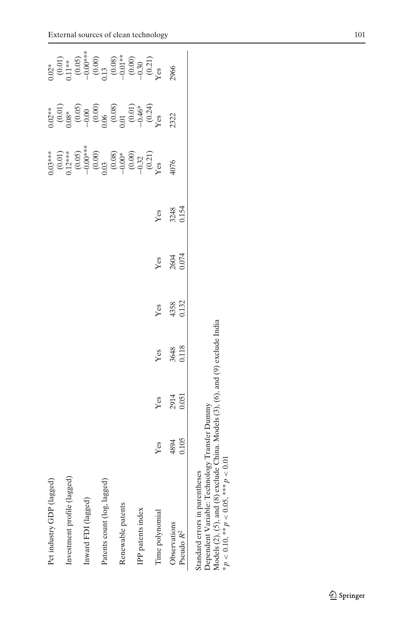| Pct industry GDP (lagged)                                        |                   |               |               |               |               |               |                                                                                                                                                                                                                                                                                                                                             |                                                                                                                                                                                                                                                                            |                                                                                                                                                                                                                                                                                                        |
|------------------------------------------------------------------|-------------------|---------------|---------------|---------------|---------------|---------------|---------------------------------------------------------------------------------------------------------------------------------------------------------------------------------------------------------------------------------------------------------------------------------------------------------------------------------------------|----------------------------------------------------------------------------------------------------------------------------------------------------------------------------------------------------------------------------------------------------------------------------|--------------------------------------------------------------------------------------------------------------------------------------------------------------------------------------------------------------------------------------------------------------------------------------------------------|
|                                                                  |                   |               |               |               |               |               | $\begin{array}{l} 0.03\overset{***}{\leadsto} \\ (0.01) \\ (0.05) \\ (1.03) \\ (1.03) \\ (0.05) \\ (0.00) \\ (0.00) \\ (0.00) \\ (0.00) \\ (0.00) \\ (0.00) \\ (0.00) \\ (0.01) \\ (0.01) \\ (0.01) \\ (0.02) \\ (0.03) \\ (0.01) \\ (0.02) \\ (0.03) \\ (0.04) \\ (0.05) \\ (0.05) \\ (0.01) \\ (0.02) \\ (0.03) \\ (0.04) \\ (0.05) \\ ($ | $\begin{array}{l} 0.024\\ 0.04\\ 0.08\\ 0.08\\ 0.09\\ 0.09\\ 0.00\\ 0.00\\ 0.00\\ 0.00\\ 0.00\\ 0.00\\ 0.00\\ 0.00\\ 0.00\\ 0.00\\ 0.00\\ 0.00\\ 0.00\\ 0.00\\ 0.00\\ 0.00\\ 0.00\\ 0.00\\ 0.00\\ 0.00\\ 0.00\\ 0.00\\ 0.00\\ 0.00\\ 0.00\\ 0.00\\ 0.00\\ 0.00\\ 0.00\\ 0$ | $\begin{array}{l} 0.02^{*}\\ (0.01)\\ (0.05)\\ (0.05)\\ (0.06)\\ (0.07)\\ (0.09)\\ (0.00)\\ (0.00)\\ (0.01)^{2}\\ (0.00)\\ (0.01)\\ (0.01)\\ (0.01)\\ (0.01)\\ (0.02)\\ (0.03)\\ (0.01)\\ (0.02)\\ (0.03)\\ (0.04)\\ (0.05)\\ (0.05)\\ (0.07)\\ (0.08)\\ (0.09)\\ (0.01)\\ (0.01)\\ (0.01)\\ (0.01)\\$ |
| Investment profile (lagged)                                      |                   |               |               |               |               |               |                                                                                                                                                                                                                                                                                                                                             |                                                                                                                                                                                                                                                                            |                                                                                                                                                                                                                                                                                                        |
|                                                                  |                   |               |               |               |               |               |                                                                                                                                                                                                                                                                                                                                             |                                                                                                                                                                                                                                                                            |                                                                                                                                                                                                                                                                                                        |
| Inward FDI (lagged)                                              |                   |               |               |               |               |               |                                                                                                                                                                                                                                                                                                                                             |                                                                                                                                                                                                                                                                            |                                                                                                                                                                                                                                                                                                        |
|                                                                  |                   |               |               |               |               |               |                                                                                                                                                                                                                                                                                                                                             |                                                                                                                                                                                                                                                                            |                                                                                                                                                                                                                                                                                                        |
| Patents count (log, lagged)                                      |                   |               |               |               |               |               |                                                                                                                                                                                                                                                                                                                                             |                                                                                                                                                                                                                                                                            |                                                                                                                                                                                                                                                                                                        |
|                                                                  |                   |               |               |               |               |               |                                                                                                                                                                                                                                                                                                                                             |                                                                                                                                                                                                                                                                            |                                                                                                                                                                                                                                                                                                        |
| Renewable patents                                                |                   |               |               |               |               |               |                                                                                                                                                                                                                                                                                                                                             |                                                                                                                                                                                                                                                                            |                                                                                                                                                                                                                                                                                                        |
|                                                                  |                   |               |               |               |               |               |                                                                                                                                                                                                                                                                                                                                             |                                                                                                                                                                                                                                                                            |                                                                                                                                                                                                                                                                                                        |
| PP patents index                                                 |                   |               |               |               |               |               |                                                                                                                                                                                                                                                                                                                                             |                                                                                                                                                                                                                                                                            |                                                                                                                                                                                                                                                                                                        |
|                                                                  |                   |               |               |               |               |               |                                                                                                                                                                                                                                                                                                                                             |                                                                                                                                                                                                                                                                            |                                                                                                                                                                                                                                                                                                        |
| Time polynomial                                                  | Yes               | Yes           | Yes           | Yes           | Yes           | Yes           |                                                                                                                                                                                                                                                                                                                                             |                                                                                                                                                                                                                                                                            |                                                                                                                                                                                                                                                                                                        |
| Observations                                                     | 4894              | 2914<br>0.051 | 3648<br>0.118 | 4358<br>0.132 | 2604<br>0.074 | 3248<br>0.154 | 076                                                                                                                                                                                                                                                                                                                                         | 1322                                                                                                                                                                                                                                                                       | 966                                                                                                                                                                                                                                                                                                    |
| Pseudo R <sup>2</sup>                                            | 0.10 <sup>2</sup> |               |               |               |               |               |                                                                                                                                                                                                                                                                                                                                             |                                                                                                                                                                                                                                                                            |                                                                                                                                                                                                                                                                                                        |
| Dependent Variable: Technology<br>Standard errors in parentheses | Transfer Dunnn    |               |               |               |               |               |                                                                                                                                                                                                                                                                                                                                             |                                                                                                                                                                                                                                                                            |                                                                                                                                                                                                                                                                                                        |

Models (2), (5), and (8) exclude China. Models (3), (6), and (9) exclude India

\**p*

 $< 0.10$ , \*\* *p*  $<$ 

 $< 0.05$ , \*\*\*

*p* < 0.01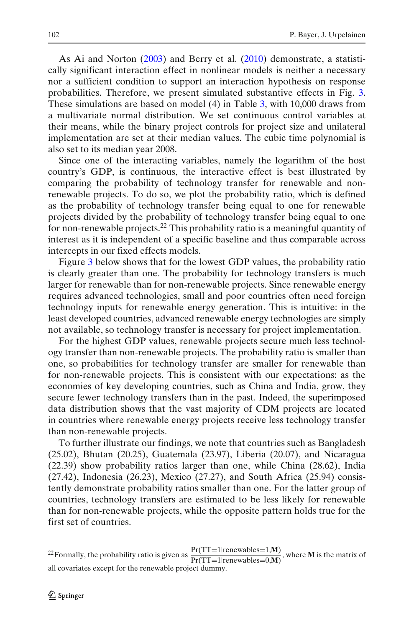As Ai and Norto[n](#page-27-0) [\(2003\)](#page-27-0) and Berry et al[.](#page-27-0) [\(2010](#page-27-0)) demonstrate, a statistically significant interaction effect in nonlinear models is neither a necessary nor a sufficient condition to support an interaction hypothesis on response probabilities. Therefore, we present simulated substantive effects in Fig. [3.](#page-22-0) These simulations are based on model (4) in Table [3,](#page-19-0) with 10,000 draws from a multivariate normal distribution. We set continuous control variables at their means, while the binary project controls for project size and unilateral implementation are set at their median values. The cubic time polynomial is also set to its median year 2008.

Since one of the interacting variables, namely the logarithm of the host country's GDP, is continuous, the interactive effect is best illustrated by comparing the probability of technology transfer for renewable and nonrenewable projects. To do so, we plot the probability ratio, which is defined as the probability of technology transfer being equal to one for renewable projects divided by the probability of technology transfer being equal to one for non-renewable projects.<sup>22</sup> This probability ratio is a meaningful quantity of interest as it is independent of a specific baseline and thus comparable across intercepts in our fixed effects models.

Figure [3](#page-22-0) below shows that for the lowest GDP values, the probability ratio is clearly greater than one. The probability for technology transfers is much larger for renewable than for non-renewable projects. Since renewable energy requires advanced technologies, small and poor countries often need foreign technology inputs for renewable energy generation. This is intuitive: in the least developed countries, advanced renewable energy technologies are simply not available, so technology transfer is necessary for project implementation.

For the highest GDP values, renewable projects secure much less technology transfer than non-renewable projects. The probability ratio is smaller than one, so probabilities for technology transfer are smaller for renewable than for non-renewable projects. This is consistent with our expectations: as the economies of key developing countries, such as China and India, grow, they secure fewer technology transfers than in the past. Indeed, the superimposed data distribution shows that the vast majority of CDM projects are located in countries where renewable energy projects receive less technology transfer than non-renewable projects.

To further illustrate our findings, we note that countries such as Bangladesh (25.02), Bhutan (20.25), Guatemala (23.97), Liberia (20.07), and Nicaragua (22.39) show probability ratios larger than one, while China (28.62), India (27.42), Indonesia (26.23), Mexico (27.27), and South Africa (25.94) consistently demonstrate probability ratios smaller than one. For the latter group of countries, technology transfers are estimated to be less likely for renewable than for non-renewable projects, while the opposite pattern holds true for the first set of countries.

<sup>&</sup>lt;sup>22</sup> Formally, the probability ratio is given as  $\frac{Pr(TT=1|$ renewables=0,**M**), where **M** is the matrix of all covariates except for the renewable project dummy.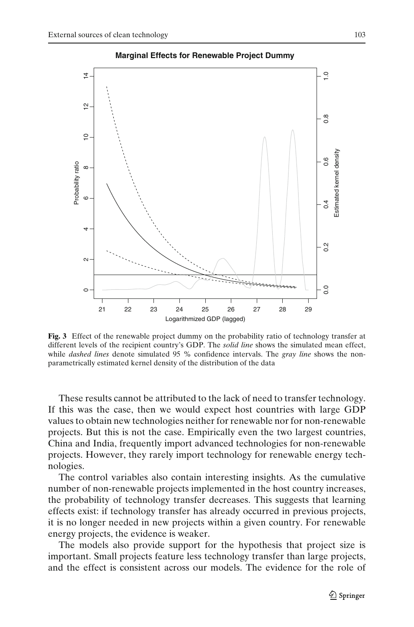<span id="page-22-0"></span>

**Marginal Effects for Renewable Project Dummy**

**Fig. 3** Effect of the renewable project dummy on the probability ratio of technology transfer at different levels of the recipient country's GDP. The *solid line* shows the simulated mean effect, while *dashed lines* denote simulated 95 % confidence intervals. The *gray line* shows the nonparametrically estimated kernel density of the distribution of the data

These results cannot be attributed to the lack of need to transfer technology. If this was the case, then we would expect host countries with large GDP values to obtain new technologies neither for renewable nor for non-renewable projects. But this is not the case. Empirically even the two largest countries, China and India, frequently import advanced technologies for non-renewable projects. However, they rarely import technology for renewable energy technologies.

The control variables also contain interesting insights. As the cumulative number of non-renewable projects implemented in the host country increases, the probability of technology transfer decreases. This suggests that learning effects exist: if technology transfer has already occurred in previous projects, it is no longer needed in new projects within a given country. For renewable energy projects, the evidence is weaker.

The models also provide support for the hypothesis that project size is important. Small projects feature less technology transfer than large projects, and the effect is consistent across our models. The evidence for the role of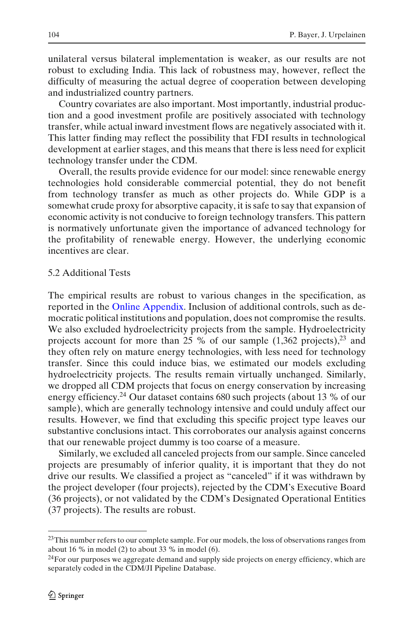unilateral versus bilateral implementation is weaker, as our results are not robust to excluding India. This lack of robustness may, however, reflect the difficulty of measuring the actual degree of cooperation between developing and industrialized country partners.

Country covariates are also important. Most importantly, industrial production and a good investment profile are positively associated with technology transfer, while actual inward investment flows are negatively associated with it. This latter finding may reflect the possibility that FDI results in technological development at earlier stages, and this means that there is less need for explicit technology transfer under the CDM.

Overall, the results provide evidence for our model: since renewable energy technologies hold considerable commercial potential, they do not benefit from technology transfer as much as other projects do. While GDP is a somewhat crude proxy for absorptive capacity, it is safe to say that expansion of economic activity is not conducive to foreign technology transfers. This pattern is normatively unfortunate given the importance of advanced technology for the profitability of renewable energy. However, the underlying economic incentives are clear.

# 5.2 Additional Tests

The empirical results are robust to various changes in the specification, as reported in the Online Appendix. Inclusion of additional controls, such as democratic political institutions and population, does not compromise the results. We also excluded hydroelectricity projects from the sample. Hydroelectricity projects account for more than 25 % of our sample  $(1,362 \text{ projects})$ ,  $^{23}$  and they often rely on mature energy technologies, with less need for technology transfer. Since this could induce bias, we estimated our models excluding hydroelectricity projects. The results remain virtually unchanged. Similarly, we dropped all CDM projects that focus on energy conservation by increasing energy efficiency.<sup>24</sup> Our dataset contains 680 such projects (about 13  $\%$  of our sample), which are generally technology intensive and could unduly affect our results. However, we find that excluding this specific project type leaves our substantive conclusions intact. This corroborates our analysis against concerns that our renewable project dummy is too coarse of a measure.

Similarly, we excluded all canceled projects from our sample. Since canceled projects are presumably of inferior quality, it is important that they do not drive our results. We classified a project as "canceled" if it was withdrawn by the project developer (four projects), rejected by the CDM's Executive Board (36 projects), or not validated by the CDM's Designated Operational Entities (37 projects). The results are robust.

<sup>&</sup>lt;sup>23</sup>This number refers to our complete sample. For our models, the loss of observations ranges from about 16  $\%$  in model (2) to about 33  $\%$  in model (6).

<sup>&</sup>lt;sup>24</sup>For our purposes we aggregate demand and supply side projects on energy efficiency, which are separately coded in the CDM/JI Pipeline Database.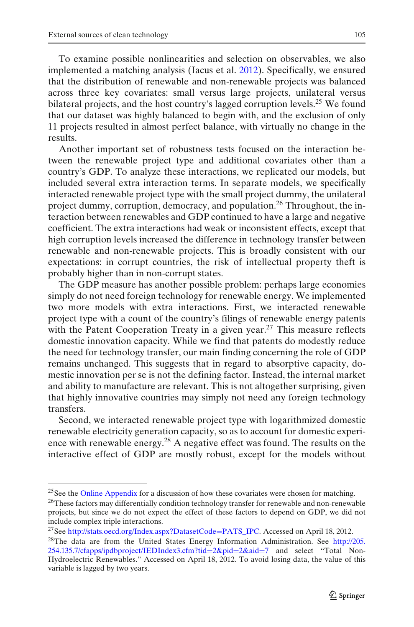To examine possible nonlinearities and selection on observables, we also implemented a matching analysis (Iacus et al[.](#page-27-0) [2012](#page-27-0)). Specifically, we ensured that the distribution of renewable and non-renewable projects was balanced across three key covariates: small versus large projects, unilateral versus bilateral projects, and the host country's lagged corruption levels.<sup>25</sup> We found that our dataset was highly balanced to begin with, and the exclusion of only 11 projects resulted in almost perfect balance, with virtually no change in the results.

Another important set of robustness tests focused on the interaction between the renewable project type and additional covariates other than a country's GDP. To analyze these interactions, we replicated our models, but included several extra interaction terms. In separate models, we specifically interacted renewable project type with the small project dummy, the unilateral project dummy, corruption, democracy, and population.<sup>26</sup> Throughout, the interaction between renewables and GDP continued to have a large and negative coefficient. The extra interactions had weak or inconsistent effects, except that high corruption levels increased the difference in technology transfer between renewable and non-renewable projects. This is broadly consistent with our expectations: in corrupt countries, the risk of intellectual property theft is probably higher than in non-corrupt states.

The GDP measure has another possible problem: perhaps large economies simply do not need foreign technology for renewable energy. We implemented two more models with extra interactions. First, we interacted renewable project type with a count of the country's filings of renewable energy patents with the Patent Cooperation Treaty in a given year.<sup>27</sup> This measure reflects domestic innovation capacity. While we find that patents do modestly reduce the need for technology transfer, our main finding concerning the role of GDP remains unchanged. This suggests that in regard to absorptive capacity, domestic innovation per se is not the defining factor. Instead, the internal market and ability to manufacture are relevant. This is not altogether surprising, given that highly innovative countries may simply not need any foreign technology transfers.

Second, we interacted renewable project type with logarithmized domestic renewable electricity generation capacity, so as to account for domestic experience with renewable energy.<sup>28</sup> A negative effect was found. The results on the interactive effect of GDP are mostly robust, except for the models without

<sup>&</sup>lt;sup>25</sup>See the Online Appendix for a discussion of how these covariates were chosen for matching.

<sup>&</sup>lt;sup>26</sup>These factors may differentially condition technology transfer for renewable and non-renewable projects, but since we do not expect the effect of these factors to depend on GDP, we did not include complex triple interactions.

<sup>27</sup>See [http://stats.oecd.org/Index.aspx?DatasetCode](http://stats.oecd.org/Index.aspx?DatasetCode=PATS_IPC)=PATS\_IPC. Accessed on April 18, 2012.

<sup>&</sup>lt;sup>28</sup>The data are from the United States Energy Information Administration. See [http://205.](http://205.254.135.7/cfapps/ipdbproject/IEDIndex3.cfm?tid=2&pid=2&aid=7) [254.135.7/cfapps/ipdbproject/IEDIndex3.cfm?tid](http://205.254.135.7/cfapps/ipdbproject/IEDIndex3.cfm?tid=2&pid=2&aid=7)=2&pid=2&aid=7 and select "Total Non-Hydroelectric Renewables." Accessed on April 18, 2012. To avoid losing data, the value of this variable is lagged by two years.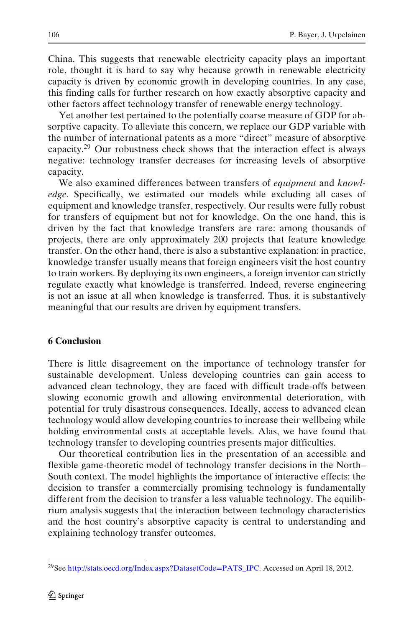China. This suggests that renewable electricity capacity plays an important role, thought it is hard to say why because growth in renewable electricity capacity is driven by economic growth in developing countries. In any case, this finding calls for further research on how exactly absorptive capacity and other factors affect technology transfer of renewable energy technology.

Yet another test pertained to the potentially coarse measure of GDP for absorptive capacity. To alleviate this concern, we replace our GDP variable with the number of international patents as a more "direct" measure of absorptive capacity.<sup>29</sup> Our robustness check shows that the interaction effect is always negative: technology transfer decreases for increasing levels of absorptive capacity.

We also examined differences between transfers of *equipment* and *knowledge*. Specifically, we estimated our models while excluding all cases of equipment and knowledge transfer, respectively. Our results were fully robust for transfers of equipment but not for knowledge. On the one hand, this is driven by the fact that knowledge transfers are rare: among thousands of projects, there are only approximately 200 projects that feature knowledge transfer. On the other hand, there is also a substantive explanation: in practice, knowledge transfer usually means that foreign engineers visit the host country to train workers. By deploying its own engineers, a foreign inventor can strictly regulate exactly what knowledge is transferred. Indeed, reverse engineering is not an issue at all when knowledge is transferred. Thus, it is substantively meaningful that our results are driven by equipment transfers.

# **6 Conclusion**

There is little disagreement on the importance of technology transfer for sustainable development. Unless developing countries can gain access to advanced clean technology, they are faced with difficult trade-offs between slowing economic growth and allowing environmental deterioration, with potential for truly disastrous consequences. Ideally, access to advanced clean technology would allow developing countries to increase their wellbeing while holding environmental costs at acceptable levels. Alas, we have found that technology transfer to developing countries presents major difficulties.

Our theoretical contribution lies in the presentation of an accessible and flexible game-theoretic model of technology transfer decisions in the North– South context. The model highlights the importance of interactive effects: the decision to transfer a commercially promising technology is fundamentally different from the decision to transfer a less valuable technology. The equilibrium analysis suggests that the interaction between technology characteristics and the host country's absorptive capacity is central to understanding and explaining technology transfer outcomes.

<sup>&</sup>lt;sup>29</sup>See [http://stats.oecd.org/Index.aspx?DatasetCode](http://stats.oecd.org/Index.aspx?DatasetCode=PATS_IPC)=PATS\_IPC. Accessed on April 18, 2012.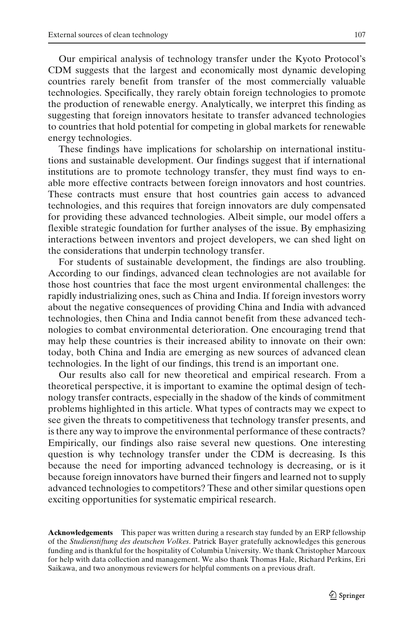Our empirical analysis of technology transfer under the Kyoto Protocol's CDM suggests that the largest and economically most dynamic developing countries rarely benefit from transfer of the most commercially valuable technologies. Specifically, they rarely obtain foreign technologies to promote the production of renewable energy. Analytically, we interpret this finding as suggesting that foreign innovators hesitate to transfer advanced technologies to countries that hold potential for competing in global markets for renewable energy technologies.

These findings have implications for scholarship on international institutions and sustainable development. Our findings suggest that if international institutions are to promote technology transfer, they must find ways to enable more effective contracts between foreign innovators and host countries. These contracts must ensure that host countries gain access to advanced technologies, and this requires that foreign innovators are duly compensated for providing these advanced technologies. Albeit simple, our model offers a flexible strategic foundation for further analyses of the issue. By emphasizing interactions between inventors and project developers, we can shed light on the considerations that underpin technology transfer.

For students of sustainable development, the findings are also troubling. According to our findings, advanced clean technologies are not available for those host countries that face the most urgent environmental challenges: the rapidly industrializing ones, such as China and India. If foreign investors worry about the negative consequences of providing China and India with advanced technologies, then China and India cannot benefit from these advanced technologies to combat environmental deterioration. One encouraging trend that may help these countries is their increased ability to innovate on their own: today, both China and India are emerging as new sources of advanced clean technologies. In the light of our findings, this trend is an important one.

Our results also call for new theoretical and empirical research. From a theoretical perspective, it is important to examine the optimal design of technology transfer contracts, especially in the shadow of the kinds of commitment problems highlighted in this article. What types of contracts may we expect to see given the threats to competitiveness that technology transfer presents, and is there any way to improve the environmental performance of these contracts? Empirically, our findings also raise several new questions. One interesting question is why technology transfer under the CDM is decreasing. Is this because the need for importing advanced technology is decreasing, or is it because foreign innovators have burned their fingers and learned not to supply advanced technologies to competitors? These and other similar questions open exciting opportunities for systematic empirical research.

**Acknowledgements** This paper was written during a research stay funded by an ERP fellowship of the *Studienstiftung des deutschen Volkes*. Patrick Bayer gratefully acknowledges this generous funding and is thankful for the hospitality of Columbia University. We thank Christopher Marcoux for help with data collection and management. We also thank Thomas Hale, Richard Perkins, Eri Saikawa, and two anonymous reviewers for helpful comments on a previous draft.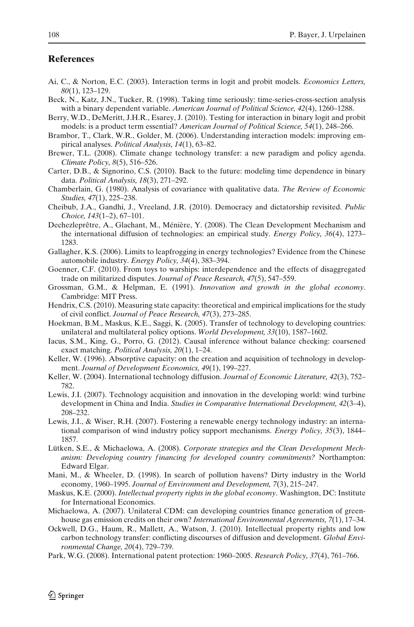# <span id="page-27-0"></span>**References**

- Ai, C., & Norton, E.C. (2003). Interaction terms in logit and probit models. *Economics Letters, 80*(1), 123–129.
- Beck, N., Katz, J.N., Tucker, R. (1998). Taking time seriously: time-series-cross-section analysis with a binary dependent variable. *American Journal of Political Science, 42*(4), 1260–1288.
- Berry, W.D., DeMeritt, J.H.R., Esarey, J. (2010). Testing for interaction in binary logit and probit models: is a product term essential? *American Journal of Political Science, 54*(1), 248–266.
- Brambor, T., Clark, W.R., Golder, M. (2006). Understanding interaction models: improving empirical analyses. *Political Analysis, 14*(1), 63–82.
- Brewer, T.L. (2008). Climate change technology transfer: a new paradigm and policy agenda. *Climate Policy, 8*(5), 516–526.
- Carter, D.B., & Signorino, C.S. (2010). Back to the future: modeling time dependence in binary data. *Political Analysis, 18*(3), 271–292.
- Chamberlain, G. (1980). Analysis of covariance with qualitative data. *The Review of Economic Studies, 47*(1), 225–238.
- Cheibub, J.A., Gandhi, J., Vreeland, J.R. (2010). Democracy and dictatorship revisited. *Public Choice, 143*(1–2), 67–101.
- Dechezleprêtre, A., Glachant, M., Ménière, Y. (2008). The Clean Development Mechanism and the international diffusion of technologies: an empirical study. *Energy Policy, 36*(4), 1273– 1283.
- Gallagher, K.S. (2006). Limits to leapfrogging in energy technologies? Evidence from the Chinese automobile industry. *Energy Policy, 34*(4), 383–394.
- Goenner, C.F. (2010). From toys to warships: interdependence and the effects of disaggregated trade on militarized disputes. *Journal of Peace Research, 47*(5), 547–559.
- Grossman, G.M., & Helpman, E. (1991). *Innovation and growth in the global economy*. Cambridge: MIT Press.
- Hendrix, C.S. (2010). Measuring state capacity: theoretical and empirical implications for the study of civil conflict. *Journal of Peace Research, 47*(3), 273–285.
- Hoekman, B.M., Maskus, K.E., Saggi, K. (2005). Transfer of technology to developing countries: unilateral and multilateral policy options. *World Development, 33*(10), 1587–1602.
- Iacus, S.M., King, G., Porro, G. (2012). Causal inference without balance checking: coarsened exact matching. *Political Analysis, 20*(1), 1–24.
- Keller, W. (1996). Absorptive capacity: on the creation and acquisition of technology in development. *Journal of Development Economics, 49*(1), 199–227.
- Keller, W. (2004). International technology diffusion. *Journal of Economic Literature, 42*(3), 752– 782.
- Lewis, J.I. (2007). Technology acquisition and innovation in the developing world: wind turbine development in China and India. *Studies in Comparative International Development, 42*(3–4), 208–232.
- Lewis, J.I., & Wiser, R.H. (2007). Fostering a renewable energy technology industry: an international comparison of wind industry policy support mechanisms. *Energy Policy, 35*(3), 1844– 1857.
- Lütken, S.E., & Michaelowa, A. (2008). *Corporate strategies and the Clean Development Mechanism: Developing country f inancing for developed country commitments?* Northampton: Edward Elgar.
- Mani, M., & Wheeler, D. (1998). In search of pollution havens? Dirty industry in the World economy, 1960–1995. *Journal of Environment and Development, 7*(3), 215–247.
- Maskus, K.E. (2000). *Intellectual property rights in the global economy*. Washington, DC: Institute for International Economics.
- Michaelowa, A. (2007). Unilateral CDM: can developing countries finance generation of greenhouse gas emission credits on their own? *International Environmental Agreements, 7*(1), 17–34.
- Ockwell, D.G., Haum, R., Mallett, A., Watson, J. (2010). Intellectual property rights and low carbon technology transfer: conflicting discourses of diffusion and development. *Global Environmental Change, 20*(4), 729–739.
- Park, W.G. (2008). International patent protection: 1960–2005. *Research Policy, 37*(4), 761–766.